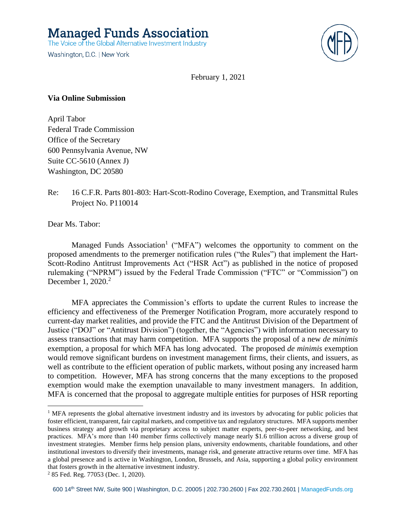**Managed Funds Association** 

The Voice of the Global Alternative Investment Industry

Washington, D.C. | New York



February 1, 2021

#### **Via Online Submission**

April Tabor Federal Trade Commission Office of the Secretary 600 Pennsylvania Avenue, NW Suite CC-5610 (Annex J) Washington, DC 20580

# Re: 16 C.F.R. Parts 801-803: Hart-Scott-Rodino Coverage, Exemption, and Transmittal Rules Project No. P110014

Dear Ms. Tabor:

Managed Funds Association<sup>1</sup> ("MFA") welcomes the opportunity to comment on the proposed amendments to the premerger notification rules ("the Rules") that implement the Hart-Scott-Rodino Antitrust Improvements Act ("HSR Act") as published in the notice of proposed rulemaking ("NPRM") issued by the Federal Trade Commission ("FTC" or "Commission") on December 1, 2020. 2

MFA appreciates the Commission's efforts to update the current Rules to increase the efficiency and effectiveness of the Premerger Notification Program, more accurately respond to current-day market realities, and provide the FTC and the Antitrust Division of the Department of Justice ("DOJ" or "Antitrust Division") (together, the "Agencies") with information necessary to assess transactions that may harm competition. MFA supports the proposal of a new *de minimis*  exemption, a proposal for which MFA has long advocated. The proposed *de minimis* exemption would remove significant burdens on investment management firms, their clients, and issuers, as well as contribute to the efficient operation of public markets, without posing any increased harm to competition. However, MFA has strong concerns that the many exceptions to the proposed exemption would make the exemption unavailable to many investment managers. In addition, MFA is concerned that the proposal to aggregate multiple entities for purposes of HSR reporting

<sup>&</sup>lt;sup>1</sup> MFA represents the global alternative investment industry and its investors by advocating for public policies that foster efficient, transparent, fair capital markets, and competitive tax and regulatory structures. MFA supports member business strategy and growth via proprietary access to subject matter experts, peer-to-peer networking, and best practices. MFA's more than 140 member firms collectively manage nearly \$1.6 trillion across a diverse group of investment strategies. Member firms help pension plans, university endowments, charitable foundations, and other institutional investors to diversify their investments, manage risk, and generate attractive returns over time. MFA has a global presence and is active in Washington, London, Brussels, and Asia, supporting a global policy environment that fosters growth in the alternative investment industry.

<sup>2</sup> 85 Fed. Reg. 77053 (Dec. 1, 2020).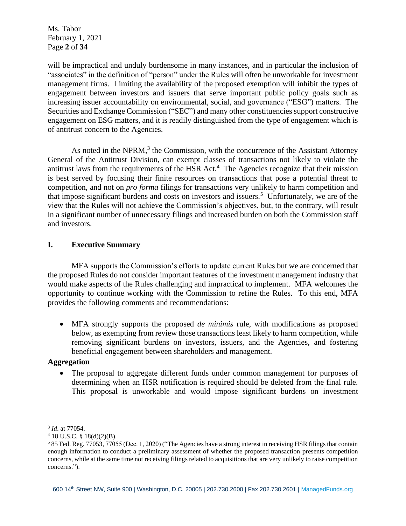Ms. Tabor February 1, 2021 Page **2** of **34**

will be impractical and unduly burdensome in many instances, and in particular the inclusion of "associates" in the definition of "person" under the Rules will often be unworkable for investment management firms. Limiting the availability of the proposed exemption will inhibit the types of engagement between investors and issuers that serve important public policy goals such as increasing issuer accountability on environmental, social, and governance ("ESG") matters. The Securities and Exchange Commission ("SEC") and many other constituencies support constructive engagement on ESG matters, and it is readily distinguished from the type of engagement which is of antitrust concern to the Agencies.

As noted in the NPRM,<sup>3</sup> the Commission, with the concurrence of the Assistant Attorney General of the Antitrust Division, can exempt classes of transactions not likely to violate the antitrust laws from the requirements of the HSR Act.<sup>4</sup> The Agencies recognize that their mission is best served by focusing their finite resources on transactions that pose a potential threat to competition, and not on *pro forma* filings for transactions very unlikely to harm competition and that impose significant burdens and costs on investors and issuers.<sup>5</sup> Unfortunately, we are of the view that the Rules will not achieve the Commission's objectives, but, to the contrary, will result in a significant number of unnecessary filings and increased burden on both the Commission staff and investors.

# **I. Executive Summary**

MFA supports the Commission's efforts to update current Rules but we are concerned that the proposed Rules do not consider important features of the investment management industry that would make aspects of the Rules challenging and impractical to implement. MFA welcomes the opportunity to continue working with the Commission to refine the Rules. To this end, MFA provides the following comments and recommendations:

• MFA strongly supports the proposed *de minimis* rule, with modifications as proposed below, as exempting from review those transactions least likely to harm competition, while removing significant burdens on investors, issuers, and the Agencies, and fostering beneficial engagement between shareholders and management.

# **Aggregation**

• The proposal to aggregate different funds under common management for purposes of determining when an HSR notification is required should be deleted from the final rule. This proposal is unworkable and would impose significant burdens on investment

<sup>3</sup> *Id*. at 77054.

 $4$  18 U.S.C. § 18(d)(2)(B).

<sup>5</sup> 85 Fed. Reg. 77053, 77055 (Dec. 1, 2020) ("The Agencies have a strong interest in receiving HSR filings that contain enough information to conduct a preliminary assessment of whether the proposed transaction presents competition concerns, while at the same time not receiving filings related to acquisitions that are very unlikely to raise competition concerns.").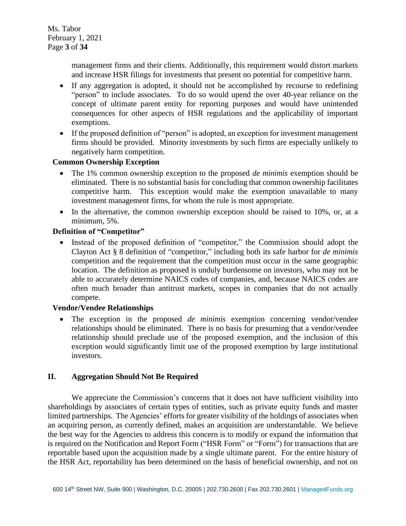management firms and their clients. Additionally, this requirement would distort markets and increase HSR filings for investments that present no potential for competitive harm.

- If any aggregation is adopted, it should not be accomplished by recourse to redefining "person" to include associates. To do so would upend the over 40-year reliance on the concept of ultimate parent entity for reporting purposes and would have unintended consequences for other aspects of HSR regulations and the applicability of important exemptions.
- If the proposed definition of "person" is adopted, an exception for investment management firms should be provided. Minority investments by such firms are especially unlikely to negatively harm competition.

# **Common Ownership Exception**

- The 1% common ownership exception to the proposed *de minimis* exemption should be eliminated. There is no substantial basis for concluding that common ownership facilitates competitive harm. This exception would make the exemption unavailable to many investment management firms, for whom the rule is most appropriate.
- In the alternative, the common ownership exception should be raised to 10%, or, at a minimum, 5%.

# **Definition of "Competitor"**

• Instead of the proposed definition of "competitor," the Commission should adopt the Clayton Act § 8 definition of "competitor," including both its safe harbor for *de minimis* competition and the requirement that the competition must occur in the same geographic location. The definition as proposed is unduly burdensome on investors, who may not be able to accurately determine NAICS codes of companies, and, because NAICS codes are often much broader than antitrust markets, scopes in companies that do not actually compete.

#### **Vendor/Vendee Relationships**

• The exception in the proposed *de minimis* exemption concerning vendor/vendee relationships should be eliminated. There is no basis for presuming that a vendor/vendee relationship should preclude use of the proposed exemption, and the inclusion of this exception would significantly limit use of the proposed exemption by large institutional investors.

# **II. Aggregation Should Not Be Required**

We appreciate the Commission's concerns that it does not have sufficient visibility into shareholdings by associates of certain types of entities, such as private equity funds and master limited partnerships. The Agencies' efforts for greater visibility of the holdings of associates when an acquiring person, as currently defined, makes an acquisition are understandable. We believe the best way for the Agencies to address this concern is to modify or expand the information that is required on the Notification and Report Form ("HSR Form" or "Form") for transactions that are reportable based upon the acquisition made by a single ultimate parent. For the entire history of the HSR Act, reportability has been determined on the basis of beneficial ownership, and not on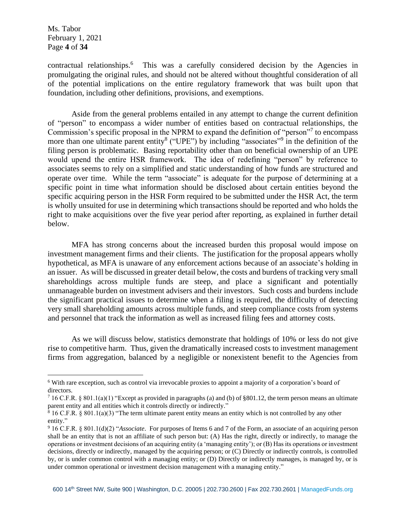Ms. Tabor February 1, 2021 Page **4** of **34**

contractual relationships.<sup>6</sup> This was a carefully considered decision by the Agencies in promulgating the original rules, and should not be altered without thoughtful consideration of all of the potential implications on the entire regulatory framework that was built upon that foundation, including other definitions, provisions, and exemptions.

Aside from the general problems entailed in any attempt to change the current definition of "person" to encompass a wider number of entities based on contractual relationships, the Commission's specific proposal in the NPRM to expand the definition of "person"<sup>7</sup> to encompass more than one ultimate parent entity<sup>8</sup> ("UPE") by including "associates"<sup>9</sup> in the definition of the filing person is problematic. Basing reportability other than on beneficial ownership of an UPE would upend the entire HSR framework. The idea of redefining "person" by reference to associates seems to rely on a simplified and static understanding of how funds are structured and operate over time. While the term "associate" is adequate for the purpose of determining at a specific point in time what information should be disclosed about certain entities beyond the specific acquiring person in the HSR Form required to be submitted under the HSR Act, the term is wholly unsuited for use in determining which transactions should be reported and who holds the right to make acquisitions over the five year period after reporting, as explained in further detail below.

MFA has strong concerns about the increased burden this proposal would impose on investment management firms and their clients. The justification for the proposal appears wholly hypothetical, as MFA is unaware of any enforcement actions because of an associate's holding in an issuer. As will be discussed in greater detail below, the costs and burdens of tracking very small shareholdings across multiple funds are steep, and place a significant and potentially unmanageable burden on investment advisers and their investors. Such costs and burdens include the significant practical issues to determine when a filing is required, the difficulty of detecting very small shareholding amounts across multiple funds, and steep compliance costs from systems and personnel that track the information as well as increased filing fees and attorney costs.

As we will discuss below, statistics demonstrate that holdings of 10% or less do not give rise to competitive harm. Thus, given the dramatically increased costs to investment management firms from aggregation, balanced by a negligible or nonexistent benefit to the Agencies from

<sup>6</sup> With rare exception, such as control via irrevocable proxies to appoint a majority of a corporation's board of directors.

 $716$  C.F.R. § 801.1(a)(1) "Except as provided in paragraphs (a) and (b) of §801.12, the term person means an ultimate parent entity and all entities which it controls directly or indirectly."

 $816$  C.F.R. § 801.1(a)(3) "The term ultimate parent entity means an entity which is not controlled by any other entity."

<sup>9</sup> 16 C.F.R. § 801.1(d)(2) "*Associate*. For purposes of Items 6 and 7 of the Form, an associate of an acquiring person shall be an entity that is not an affiliate of such person but: (A) Has the right, directly or indirectly, to manage the operations or investment decisions of an acquiring entity (a 'managing entity'); or (B) Has its operations or investment decisions, directly or indirectly, managed by the acquiring person; or (C) Directly or indirectly controls, is controlled by, or is under common control with a managing entity; or (D) Directly or indirectly manages, is managed by, or is under common operational or investment decision management with a managing entity."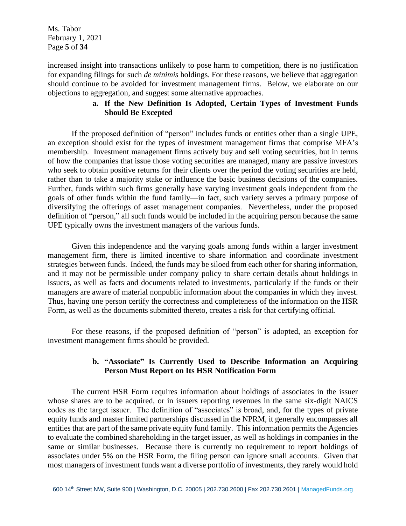Ms. Tabor February 1, 2021 Page **5** of **34**

increased insight into transactions unlikely to pose harm to competition, there is no justification for expanding filings for such *de minimis* holdings. For these reasons, we believe that aggregation should continue to be avoided for investment management firms. Below, we elaborate on our objections to aggregation, and suggest some alternative approaches.

# **a. If the New Definition Is Adopted, Certain Types of Investment Funds Should Be Excepted**

If the proposed definition of "person" includes funds or entities other than a single UPE, an exception should exist for the types of investment management firms that comprise MFA's membership. Investment management firms actively buy and sell voting securities, but in terms of how the companies that issue those voting securities are managed, many are passive investors who seek to obtain positive returns for their clients over the period the voting securities are held, rather than to take a majority stake or influence the basic business decisions of the companies. Further, funds within such firms generally have varying investment goals independent from the goals of other funds within the fund family—in fact, such variety serves a primary purpose of diversifying the offerings of asset management companies. Nevertheless, under the proposed definition of "person," all such funds would be included in the acquiring person because the same UPE typically owns the investment managers of the various funds.

Given this independence and the varying goals among funds within a larger investment management firm, there is limited incentive to share information and coordinate investment strategies between funds. Indeed, the funds may be siloed from each other for sharing information, and it may not be permissible under company policy to share certain details about holdings in issuers, as well as facts and documents related to investments, particularly if the funds or their managers are aware of material nonpublic information about the companies in which they invest. Thus, having one person certify the correctness and completeness of the information on the HSR Form, as well as the documents submitted thereto, creates a risk for that certifying official.

For these reasons, if the proposed definition of "person" is adopted, an exception for investment management firms should be provided.

# **b. "Associate" Is Currently Used to Describe Information an Acquiring Person Must Report on Its HSR Notification Form**

The current HSR Form requires information about holdings of associates in the issuer whose shares are to be acquired, or in issuers reporting revenues in the same six-digit NAICS codes as the target issuer. The definition of "associates" is broad, and, for the types of private equity funds and master limited partnerships discussed in the NPRM, it generally encompasses all entities that are part of the same private equity fund family. This information permits the Agencies to evaluate the combined shareholding in the target issuer, as well as holdings in companies in the same or similar businesses. Because there is currently no requirement to report holdings of associates under 5% on the HSR Form, the filing person can ignore small accounts. Given that most managers of investment funds want a diverse portfolio of investments, they rarely would hold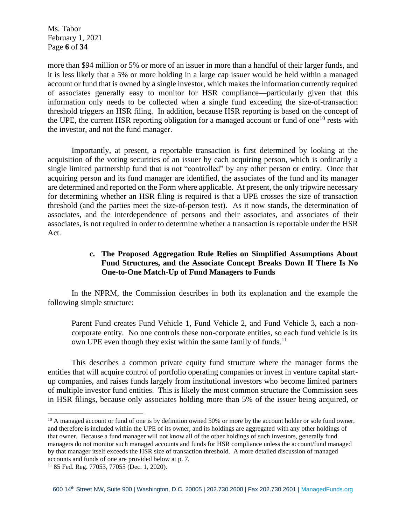Ms. Tabor February 1, 2021 Page **6** of **34**

more than \$94 million or 5% or more of an issuer in more than a handful of their larger funds, and it is less likely that a 5% or more holding in a large cap issuer would be held within a managed account or fund that is owned by a single investor, which makes the information currently required of associates generally easy to monitor for HSR compliance—particularly given that this information only needs to be collected when a single fund exceeding the size-of-transaction threshold triggers an HSR filing. In addition, because HSR reporting is based on the concept of the UPE, the current HSR reporting obligation for a managed account or fund of one<sup>10</sup> rests with the investor, and not the fund manager.

Importantly, at present, a reportable transaction is first determined by looking at the acquisition of the voting securities of an issuer by each acquiring person, which is ordinarily a single limited partnership fund that is not "controlled" by any other person or entity. Once that acquiring person and its fund manager are identified, the associates of the fund and its manager are determined and reported on the Form where applicable. At present, the only tripwire necessary for determining whether an HSR filing is required is that a UPE crosses the size of transaction threshold (and the parties meet the size-of-person test). As it now stands, the determination of associates, and the interdependence of persons and their associates, and associates of their associates, is not required in order to determine whether a transaction is reportable under the HSR Act.

# **c. The Proposed Aggregation Rule Relies on Simplified Assumptions About Fund Structures, and the Associate Concept Breaks Down If There Is No One-to-One Match-Up of Fund Managers to Funds**

In the NPRM, the Commission describes in both its explanation and the example the following simple structure:

Parent Fund creates Fund Vehicle 1, Fund Vehicle 2, and Fund Vehicle 3, each a noncorporate entity. No one controls these non-corporate entities, so each fund vehicle is its own UPE even though they exist within the same family of funds.<sup>11</sup>

This describes a common private equity fund structure where the manager forms the entities that will acquire control of portfolio operating companies or invest in venture capital startup companies, and raises funds largely from institutional investors who become limited partners of multiple investor fund entities. This is likely the most common structure the Commission sees in HSR filings, because only associates holding more than 5% of the issuer being acquired, or

<sup>&</sup>lt;sup>10</sup> A managed account or fund of one is by definition owned 50% or more by the account holder or sole fund owner, and therefore is included within the UPE of its owner, and its holdings are aggregated with any other holdings of that owner. Because a fund manager will not know all of the other holdings of such investors, generally fund managers do not monitor such managed accounts and funds for HSR compliance unless the account/fund managed by that manager itself exceeds the HSR size of transaction threshold. A more detailed discussion of managed accounts and funds of one are provided below at p. 7.

<sup>11</sup> 85 Fed. Reg. 77053, 77055 (Dec. 1, 2020).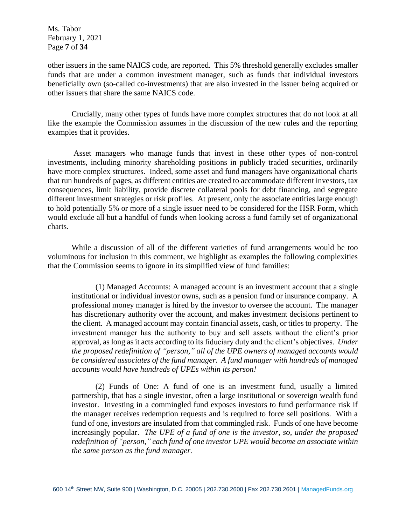Ms. Tabor February 1, 2021 Page **7** of **34**

other issuers in the same NAICS code, are reported. This 5% threshold generally excludes smaller funds that are under a common investment manager, such as funds that individual investors beneficially own (so-called co-investments) that are also invested in the issuer being acquired or other issuers that share the same NAICS code.

Crucially, many other types of funds have more complex structures that do not look at all like the example the Commission assumes in the discussion of the new rules and the reporting examples that it provides.

Asset managers who manage funds that invest in these other types of non-control investments, including minority shareholding positions in publicly traded securities, ordinarily have more complex structures. Indeed, some asset and fund managers have organizational charts that run hundreds of pages, as different entities are created to accommodate different investors, tax consequences, limit liability, provide discrete collateral pools for debt financing, and segregate different investment strategies or risk profiles. At present, only the associate entities large enough to hold potentially 5% or more of a single issuer need to be considered for the HSR Form, which would exclude all but a handful of funds when looking across a fund family set of organizational charts.

While a discussion of all of the different varieties of fund arrangements would be too voluminous for inclusion in this comment, we highlight as examples the following complexities that the Commission seems to ignore in its simplified view of fund families:

(1) Managed Accounts: A managed account is an investment account that a single institutional or individual investor owns, such as a pension fund or insurance company. A professional money manager is hired by the investor to oversee the account. The manager has discretionary authority over the account, and makes investment decisions pertinent to the client. A managed account may contain financial assets, cash, or titles to property. The investment manager has the authority to buy and sell assets without the client's prior approval, as long as it acts according to its fiduciary duty and the client's objectives. *Under the proposed redefinition of "person," all of the UPE owners of managed accounts would be considered associates of the fund manager. A fund manager with hundreds of managed accounts would have hundreds of UPEs within its person!*

(2) Funds of One: A fund of one is an investment fund, usually a limited partnership, that has a single investor, often a large institutional or sovereign wealth fund investor. Investing in a commingled fund exposes investors to fund performance risk if the manager receives redemption requests and is required to force sell positions. With a fund of one, investors are insulated from that commingled risk. Funds of one have become increasingly popular. *The UPE of a fund of one is the investor, so, under the proposed redefinition of "person," each fund of one investor UPE would become an associate within the same person as the fund manager.*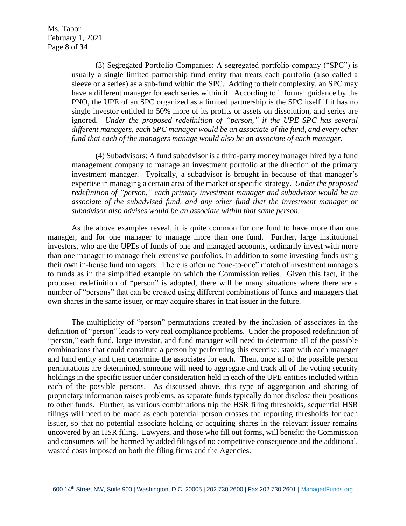(3) Segregated Portfolio Companies: A segregated portfolio company ("SPC") is usually a single limited partnership fund entity that treats each portfolio (also called a sleeve or a series) as a sub-fund within the SPC. Adding to their complexity, an SPC may have a different manager for each series within it. According to informal guidance by the PNO, the UPE of an SPC organized as a limited partnership is the SPC itself if it has no single investor entitled to 50% more of its profits or assets on dissolution, and series are ignored. *Under the proposed redefinition of "person," if the UPE SPC has several different managers, each SPC manager would be an associate of the fund, and every other fund that each of the managers manage would also be an associate of each manager.*

(4) Subadvisors: A fund subadvisor is a third-party money manager hired by a fund management company to manage an investment portfolio at the direction of the primary investment manager. Typically, a subadvisor is brought in because of that manager's expertise in managing a certain area of the market or specific strategy. *Under the proposed redefinition of "person," each primary investment manager and subadvisor would be an associate of the subadvised fund, and any other fund that the investment manager or subadvisor also advises would be an associate within that same person.*

As the above examples reveal, it is quite common for one fund to have more than one manager, and for one manager to manage more than one fund. Further, large institutional investors, who are the UPEs of funds of one and managed accounts, ordinarily invest with more than one manager to manage their extensive portfolios, in addition to some investing funds using their own in-house fund managers. There is often no "one-to-one" match of investment managers to funds as in the simplified example on which the Commission relies. Given this fact, if the proposed redefinition of "person" is adopted, there will be many situations where there are a number of "persons" that can be created using different combinations of funds and managers that own shares in the same issuer, or may acquire shares in that issuer in the future.

The multiplicity of "person" permutations created by the inclusion of associates in the definition of "person" leads to very real compliance problems. Under the proposed redefinition of "person," each fund, large investor, and fund manager will need to determine all of the possible combinations that could constitute a person by performing this exercise: start with each manager and fund entity and then determine the associates for each. Then, once all of the possible person permutations are determined, someone will need to aggregate and track all of the voting security holdings in the specific issuer under consideration held in each of the UPE entities included within each of the possible persons. As discussed above, this type of aggregation and sharing of proprietary information raises problems, as separate funds typically do not disclose their positions to other funds. Further, as various combinations trip the HSR filing thresholds, sequential HSR filings will need to be made as each potential person crosses the reporting thresholds for each issuer, so that no potential associate holding or acquiring shares in the relevant issuer remains uncovered by an HSR filing. Lawyers, and those who fill out forms, will benefit; the Commission and consumers will be harmed by added filings of no competitive consequence and the additional, wasted costs imposed on both the filing firms and the Agencies.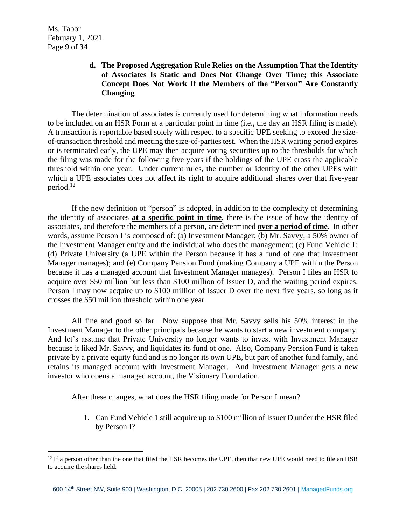# **d. The Proposed Aggregation Rule Relies on the Assumption That the Identity of Associates Is Static and Does Not Change Over Time; this Associate Concept Does Not Work If the Members of the "Person" Are Constantly Changing**

The determination of associates is currently used for determining what information needs to be included on an HSR Form at a particular point in time (i.e., the day an HSR filing is made). A transaction is reportable based solely with respect to a specific UPE seeking to exceed the sizeof-transaction threshold and meeting the size-of-parties test. When the HSR waiting period expires or is terminated early, the UPE may then acquire voting securities up to the thresholds for which the filing was made for the following five years if the holdings of the UPE cross the applicable threshold within one year. Under current rules, the number or identity of the other UPEs with which a UPE associates does not affect its right to acquire additional shares over that five-year period.<sup>12</sup>

If the new definition of "person" is adopted, in addition to the complexity of determining the identity of associates **at a specific point in time**, there is the issue of how the identity of associates, and therefore the members of a person, are determined **over a period of time**. In other words, assume Person I is composed of: (a) Investment Manager; (b) Mr. Savvy, a 50% owner of the Investment Manager entity and the individual who does the management; (c) Fund Vehicle 1; (d) Private University (a UPE within the Person because it has a fund of one that Investment Manager manages); and (e) Company Pension Fund (making Company a UPE within the Person because it has a managed account that Investment Manager manages). Person I files an HSR to acquire over \$50 million but less than \$100 million of Issuer D, and the waiting period expires. Person I may now acquire up to \$100 million of Issuer D over the next five years, so long as it crosses the \$50 million threshold within one year.

All fine and good so far. Now suppose that Mr. Savvy sells his 50% interest in the Investment Manager to the other principals because he wants to start a new investment company. And let's assume that Private University no longer wants to invest with Investment Manager because it liked Mr. Savvy, and liquidates its fund of one. Also, Company Pension Fund is taken private by a private equity fund and is no longer its own UPE, but part of another fund family, and retains its managed account with Investment Manager. And Investment Manager gets a new investor who opens a managed account, the Visionary Foundation.

After these changes, what does the HSR filing made for Person I mean?

1. Can Fund Vehicle 1 still acquire up to \$100 million of Issuer D under the HSR filed by Person I?

 $12$  If a person other than the one that filed the HSR becomes the UPE, then that new UPE would need to file an HSR to acquire the shares held.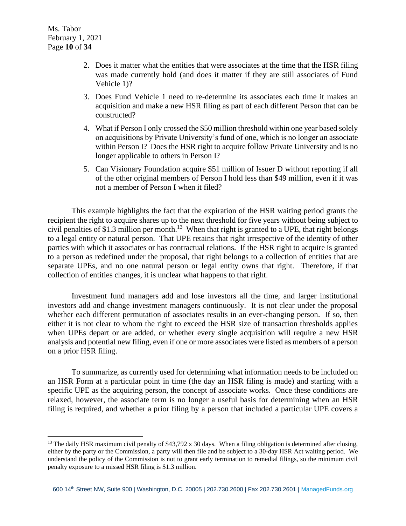- 2. Does it matter what the entities that were associates at the time that the HSR filing was made currently hold (and does it matter if they are still associates of Fund Vehicle 1)?
- 3. Does Fund Vehicle 1 need to re-determine its associates each time it makes an acquisition and make a new HSR filing as part of each different Person that can be constructed?
- 4. What if Person I only crossed the \$50 million threshold within one year based solely on acquisitions by Private University's fund of one, which is no longer an associate within Person I? Does the HSR right to acquire follow Private University and is no longer applicable to others in Person I?
- 5. Can Visionary Foundation acquire \$51 million of Issuer D without reporting if all of the other original members of Person I hold less than \$49 million, even if it was not a member of Person I when it filed?

This example highlights the fact that the expiration of the HSR waiting period grants the recipient the right to acquire shares up to the next threshold for five years without being subject to civil penalties of \$1.3 million per month.<sup>13</sup> When that right is granted to a UPE, that right belongs to a legal entity or natural person. That UPE retains that right irrespective of the identity of other parties with which it associates or has contractual relations. If the HSR right to acquire is granted to a person as redefined under the proposal, that right belongs to a collection of entities that are separate UPEs, and no one natural person or legal entity owns that right. Therefore, if that collection of entities changes, it is unclear what happens to that right.

Investment fund managers add and lose investors all the time, and larger institutional investors add and change investment managers continuously. It is not clear under the proposal whether each different permutation of associates results in an ever-changing person. If so, then either it is not clear to whom the right to exceed the HSR size of transaction thresholds applies when UPEs depart or are added, or whether every single acquisition will require a new HSR analysis and potential new filing, even if one or more associates were listed as members of a person on a prior HSR filing.

To summarize, as currently used for determining what information needs to be included on an HSR Form at a particular point in time (the day an HSR filing is made) and starting with a specific UPE as the acquiring person, the concept of associate works. Once these conditions are relaxed, however, the associate term is no longer a useful basis for determining when an HSR filing is required, and whether a prior filing by a person that included a particular UPE covers a

<sup>&</sup>lt;sup>13</sup> The daily HSR maximum civil penalty of \$43,792 x 30 days. When a filing obligation is determined after closing, either by the party or the Commission, a party will then file and be subject to a 30-day HSR Act waiting period. We understand the policy of the Commission is not to grant early termination to remedial filings, so the minimum civil penalty exposure to a missed HSR filing is \$1.3 million.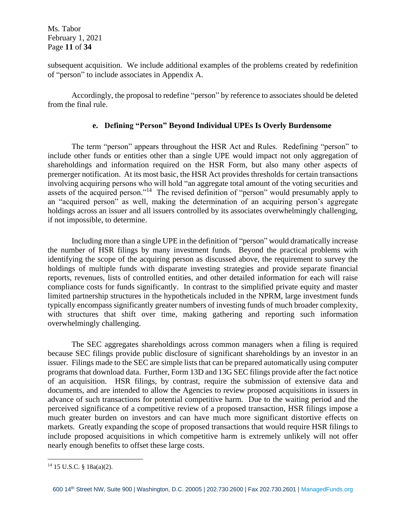Ms. Tabor February 1, 2021 Page **11** of **34**

subsequent acquisition. We include additional examples of the problems created by redefinition of "person" to include associates in Appendix A.

Accordingly, the proposal to redefine "person" by reference to associates should be deleted from the final rule.

#### **e. Defining "Person" Beyond Individual UPEs Is Overly Burdensome**

The term "person" appears throughout the HSR Act and Rules. Redefining "person" to include other funds or entities other than a single UPE would impact not only aggregation of shareholdings and information required on the HSR Form, but also many other aspects of premerger notification. At its most basic, the HSR Act provides thresholds for certain transactions involving acquiring persons who will hold "an aggregate total amount of the voting securities and assets of the acquired person."<sup>14</sup> The revised definition of "person" would presumably apply to an "acquired person" as well, making the determination of an acquiring person's aggregate holdings across an issuer and all issuers controlled by its associates overwhelmingly challenging, if not impossible, to determine.

Including more than a single UPE in the definition of "person" would dramatically increase the number of HSR filings by many investment funds. Beyond the practical problems with identifying the scope of the acquiring person as discussed above, the requirement to survey the holdings of multiple funds with disparate investing strategies and provide separate financial reports, revenues, lists of controlled entities, and other detailed information for each will raise compliance costs for funds significantly. In contrast to the simplified private equity and master limited partnership structures in the hypotheticals included in the NPRM, large investment funds typically encompass significantly greater numbers of investing funds of much broader complexity, with structures that shift over time, making gathering and reporting such information overwhelmingly challenging.

The SEC aggregates shareholdings across common managers when a filing is required because SEC filings provide public disclosure of significant shareholdings by an investor in an issuer. Filings made to the SEC are simple lists that can be prepared automatically using computer programs that download data. Further, Form 13D and 13G SEC filings provide after the fact notice of an acquisition. HSR filings, by contrast, require the submission of extensive data and documents, and are intended to allow the Agencies to review proposed acquisitions in issuers in advance of such transactions for potential competitive harm. Due to the waiting period and the perceived significance of a competitive review of a proposed transaction, HSR filings impose a much greater burden on investors and can have much more significant distortive effects on markets. Greatly expanding the scope of proposed transactions that would require HSR filings to include proposed acquisitions in which competitive harm is extremely unlikely will not offer nearly enough benefits to offset these large costs.

<sup>14</sup> 15 U.S.C. § 18a(a)(2).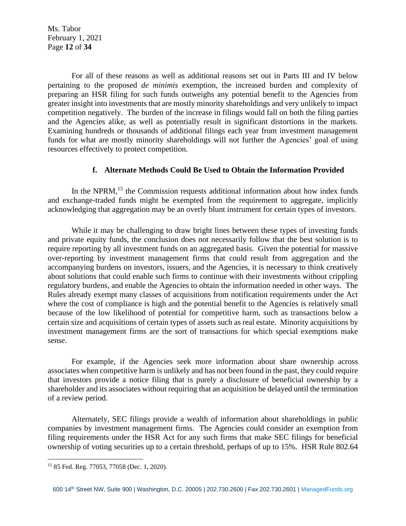Ms. Tabor February 1, 2021 Page **12** of **34**

For all of these reasons as well as additional reasons set out in Parts III and IV below pertaining to the proposed *de minimis* exemption, the increased burden and complexity of preparing an HSR filing for such funds outweighs any potential benefit to the Agencies from greater insight into investments that are mostly minority shareholdings and very unlikely to impact competition negatively. The burden of the increase in filings would fall on both the filing parties and the Agencies alike, as well as potentially result in significant distortions in the markets. Examining hundreds or thousands of additional filings each year from investment management funds for what are mostly minority shareholdings will not further the Agencies' goal of using resources effectively to protect competition.

#### **f. Alternate Methods Could Be Used to Obtain the Information Provided**

In the NPRM,<sup>15</sup> the Commission requests additional information about how index funds and exchange-traded funds might be exempted from the requirement to aggregate, implicitly acknowledging that aggregation may be an overly blunt instrument for certain types of investors.

While it may be challenging to draw bright lines between these types of investing funds and private equity funds, the conclusion does not necessarily follow that the best solution is to require reporting by all investment funds on an aggregated basis. Given the potential for massive over-reporting by investment management firms that could result from aggregation and the accompanying burdens on investors, issuers, and the Agencies, it is necessary to think creatively about solutions that could enable such firms to continue with their investments without crippling regulatory burdens, and enable the Agencies to obtain the information needed in other ways. The Rules already exempt many classes of acquisitions from notification requirements under the Act where the cost of compliance is high and the potential benefit to the Agencies is relatively small because of the low likelihood of potential for competitive harm, such as transactions below a certain size and acquisitions of certain types of assets such as real estate. Minority acquisitions by investment management firms are the sort of transactions for which special exemptions make sense.

For example, if the Agencies seek more information about share ownership across associates when competitive harm is unlikely and has not been found in the past, they could require that investors provide a notice filing that is purely a disclosure of beneficial ownership by a shareholder and its associates without requiring that an acquisition be delayed until the termination of a review period.

Alternately, SEC filings provide a wealth of information about shareholdings in public companies by investment management firms. The Agencies could consider an exemption from filing requirements under the HSR Act for any such firms that make SEC filings for beneficial ownership of voting securities up to a certain threshold, perhaps of up to 15%. HSR Rule 802.64

<sup>15</sup> 85 Fed. Reg. 77053, 77058 (Dec. 1, 2020).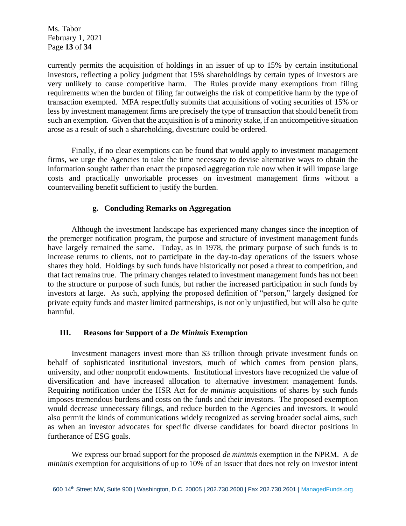Ms. Tabor February 1, 2021 Page **13** of **34**

currently permits the acquisition of holdings in an issuer of up to 15% by certain institutional investors, reflecting a policy judgment that 15% shareholdings by certain types of investors are very unlikely to cause competitive harm. The Rules provide many exemptions from filing requirements when the burden of filing far outweighs the risk of competitive harm by the type of transaction exempted. MFA respectfully submits that acquisitions of voting securities of 15% or less by investment management firms are precisely the type of transaction that should benefit from such an exemption. Given that the acquisition is of a minority stake, if an anticompetitive situation arose as a result of such a shareholding, divestiture could be ordered.

Finally, if no clear exemptions can be found that would apply to investment management firms, we urge the Agencies to take the time necessary to devise alternative ways to obtain the information sought rather than enact the proposed aggregation rule now when it will impose large costs and practically unworkable processes on investment management firms without a countervailing benefit sufficient to justify the burden.

# **g. Concluding Remarks on Aggregation**

Although the investment landscape has experienced many changes since the inception of the premerger notification program, the purpose and structure of investment management funds have largely remained the same. Today, as in 1978, the primary purpose of such funds is to increase returns to clients, not to participate in the day-to-day operations of the issuers whose shares they hold. Holdings by such funds have historically not posed a threat to competition, and that fact remains true. The primary changes related to investment management funds has not been to the structure or purpose of such funds, but rather the increased participation in such funds by investors at large. As such, applying the proposed definition of "person," largely designed for private equity funds and master limited partnerships, is not only unjustified, but will also be quite harmful.

#### **III. Reasons for Support of a** *De Minimis* **Exemption**

Investment managers invest more than \$3 trillion through private investment funds on behalf of sophisticated institutional investors, much of which comes from pension plans, university, and other nonprofit endowments. Institutional investors have recognized the value of diversification and have increased allocation to alternative investment management funds. Requiring notification under the HSR Act for *de minimis* acquisitions of shares by such funds imposes tremendous burdens and costs on the funds and their investors. The proposed exemption would decrease unnecessary filings, and reduce burden to the Agencies and investors. It would also permit the kinds of communications widely recognized as serving broader social aims, such as when an investor advocates for specific diverse candidates for board director positions in furtherance of ESG goals.

We express our broad support for the proposed *de minimis* exemption in the NPRM. A *de minimis* exemption for acquisitions of up to 10% of an issuer that does not rely on investor intent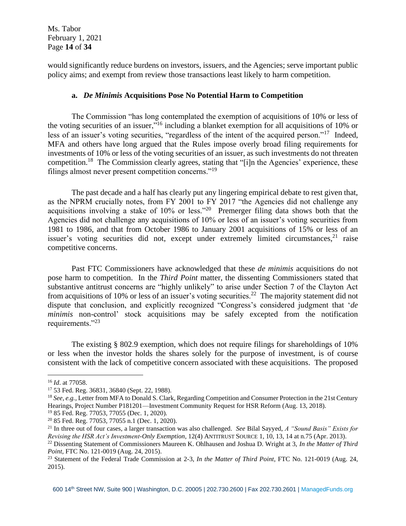Ms. Tabor February 1, 2021 Page **14** of **34**

would significantly reduce burdens on investors, issuers, and the Agencies; serve important public policy aims; and exempt from review those transactions least likely to harm competition.

#### **a.** *De Minimis* **Acquisitions Pose No Potential Harm to Competition**

The Commission "has long contemplated the exemption of acquisitions of 10% or less of the voting securities of an issuer,"<sup>16</sup> including a blanket exemption for all acquisitions of 10% or less of an issuer's voting securities, "regardless of the intent of the acquired person."<sup>17</sup> Indeed, MFA and others have long argued that the Rules impose overly broad filing requirements for investments of 10% or less of the voting securities of an issuer, as such investments do not threaten competition.<sup>18</sup> The Commission clearly agrees, stating that "[i]n the Agencies' experience, these filings almost never present competition concerns."<sup>19</sup>

The past decade and a half has clearly put any lingering empirical debate to rest given that, as the NPRM crucially notes, from FY 2001 to FY 2017 "the Agencies did not challenge any acquisitions involving a stake of  $10\%$  or less."<sup>20</sup> Premerger filing data shows both that the Agencies did not challenge any acquisitions of 10% or less of an issuer's voting securities from 1981 to 1986, and that from October 1986 to January 2001 acquisitions of 15% or less of an issuer's voting securities did not, except under extremely limited circumstances,<sup>21</sup> raise competitive concerns.

Past FTC Commissioners have acknowledged that these *de minimis* acquisitions do not pose harm to competition. In the *Third Point* matter, the dissenting Commissioners stated that substantive antitrust concerns are "highly unlikely" to arise under Section 7 of the Clayton Act from acquisitions of 10% or less of an issuer's voting securities.<sup>22</sup> The majority statement did not dispute that conclusion, and explicitly recognized "Congress's considered judgment that '*de minimis* non-control' stock acquisitions may be safely excepted from the notification requirements."23

The existing § 802.9 exemption, which does not require filings for shareholdings of 10% or less when the investor holds the shares solely for the purpose of investment, is of course consistent with the lack of competitive concern associated with these acquisitions. The proposed

<sup>16</sup> *Id*. at 77058.

<sup>17</sup> 53 Fed. Reg. 36831, 36840 (Sept. 22, 1988).

<sup>18</sup> *See, e.g.*, Letter from MFA to Donald S. Clark, Regarding Competition and Consumer Protection in the 21st Century Hearings, Project Number P181201—Investment Community Request for HSR Reform (Aug. 13, 2018).

<sup>19</sup> 85 Fed. Reg. 77053, 77055 (Dec. 1, 2020).

<sup>20</sup> 85 Fed. Reg. 77053, 77055 n.1 (Dec. 1, 2020).

<sup>21</sup> In three out of four cases, a larger transaction was also challenged. *See* Bilal Sayyed, *A "Sound Basis" Exists for Revising the HSR Act's Investment-Only Exemption*, 12(4) ANTITRUST SOURCE 1, 10, 13, 14 at n.75 (Apr. 2013).

<sup>22</sup> Dissenting Statement of Commissioners Maureen K. Ohlhausen and Joshua D. Wright at 3, *In the Matter of Third Point*, FTC No. 121-0019 (Aug. 24, 2015).

<sup>23</sup> Statement of the Federal Trade Commission at 2-3, *In the Matter of Third Point*, FTC No. 121-0019 (Aug. 24, 2015).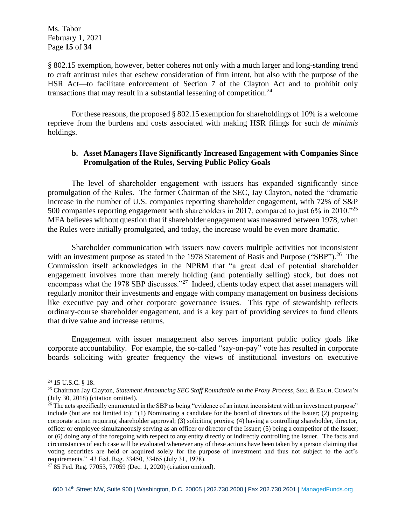Ms. Tabor February 1, 2021 Page **15** of **34**

§ 802.15 exemption, however, better coheres not only with a much larger and long-standing trend to craft antitrust rules that eschew consideration of firm intent, but also with the purpose of the HSR Act—to facilitate enforcement of Section 7 of the Clayton Act and to prohibit only transactions that may result in a substantial lessening of competition.<sup>24</sup>

For these reasons, the proposed § 802.15 exemption for shareholdings of 10% is a welcome reprieve from the burdens and costs associated with making HSR filings for such *de minimis* holdings.

### **b. Asset Managers Have Significantly Increased Engagement with Companies Since Promulgation of the Rules, Serving Public Policy Goals**

The level of shareholder engagement with issuers has expanded significantly since promulgation of the Rules. The former Chairman of the SEC, Jay Clayton, noted the "dramatic increase in the number of U.S. companies reporting shareholder engagement, with 72% of S&P 500 companies reporting engagement with shareholders in 2017, compared to just  $6\%$  in 2010."<sup>25</sup> MFA believes without question that if shareholder engagement was measured between 1978, when the Rules were initially promulgated, and today, the increase would be even more dramatic.

Shareholder communication with issuers now covers multiple activities not inconsistent with an investment purpose as stated in the 1978 Statement of Basis and Purpose ("SBP").<sup>26</sup> The Commission itself acknowledges in the NPRM that "a great deal of potential shareholder engagement involves more than merely holding (and potentially selling) stock, but does not encompass what the 1978 SBP discusses."<sup>27</sup> Indeed, clients today expect that asset managers will regularly monitor their investments and engage with company management on business decisions like executive pay and other corporate governance issues. This type of stewardship reflects ordinary-course shareholder engagement, and is a key part of providing services to fund clients that drive value and increase returns.

Engagement with issuer management also serves important public policy goals like corporate accountability. For example, the so-called "say-on-pay" vote has resulted in corporate boards soliciting with greater frequency the views of institutional investors on executive

<sup>24</sup> 15 U.S.C. § 18.

<sup>25</sup> Chairman Jay Clayton, *Statement Announcing SEC Staff Roundtable on the Proxy Process*, SEC. & EXCH. COMM'N (July 30, 2018) (citation omitted).

<sup>&</sup>lt;sup>26</sup> The acts specifically enumerated in the SBP as being "evidence of an intent inconsistent with an investment purpose" include (but are not limited to): "(1) Nominating a candidate for the board of directors of the Issuer; (2) proposing corporate action requiring shareholder approval; (3) soliciting proxies; (4) having a controlling shareholder, director, officer or employee simultaneously serving as an officer or director of the Issuer; (5) being a competitor of the Issuer; or (6) doing any of the foregoing with respect to any entity directly or indirectly controlling the Issuer. The facts and circumstances of each case will be evaluated whenever any of these actions have been taken by a person claiming that voting securities are held or acquired solely for the purpose of investment and thus not subject to the act's requirements." 43 Fed. Reg. 33450, 33465 (July 31, 1978).

<sup>27</sup> 85 Fed. Reg. 77053, 77059 (Dec. 1, 2020) (citation omitted).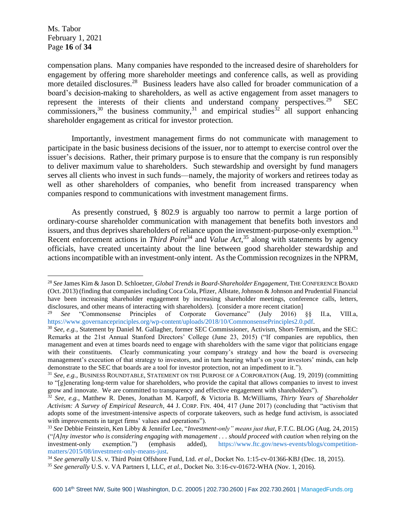Ms. Tabor February 1, 2021 Page **16** of **34**

compensation plans. Many companies have responded to the increased desire of shareholders for engagement by offering more shareholder meetings and conference calls, as well as providing more detailed disclosures.<sup>28</sup> Business leaders have also called for broader communication of a board's decision-making to shareholders, as well as active engagement from asset managers to represent the interests of their clients and understand company perspectives.<sup>29</sup> SEC commissioners,<sup>30</sup> the business community,<sup>31</sup> and empirical studies<sup>32</sup> all support enhancing shareholder engagement as critical for investor protection.

Importantly, investment management firms do not communicate with management to participate in the basic business decisions of the issuer, nor to attempt to exercise control over the issuer's decisions. Rather, their primary purpose is to ensure that the company is run responsibly to deliver maximum value to shareholders. Such stewardship and oversight by fund managers serves all clients who invest in such funds—namely, the majority of workers and retirees today as well as other shareholders of companies, who benefit from increased transparency when companies respond to communications with investment management firms.

As presently construed, § 802.9 is arguably too narrow to permit a large portion of ordinary-course shareholder communication with management that benefits both investors and issuers, and thus deprives shareholders of reliance upon the investment-purpose-only exemption.<sup>33</sup> Recent enforcement actions in *Third Point*<sup>34</sup> and *Value Act*,<sup>35</sup> along with statements by agency officials, have created uncertainty about the line between good shareholder stewardship and actions incompatible with an investment-only intent. As the Commission recognizes in the NPRM,

<sup>28</sup> *See* James Kim & Jason D. Schloetzer, *Global Trends in Board-Shareholder Engagement*, THE CONFERENCE BOARD (Oct. 2013) (finding that companies including Coca Cola, Pfizer, Allstate, Johnson & Johnson and Prudential Financial have been increasing shareholder engagement by increasing shareholder meetings, conference calls, letters, disclosures, and other means of interacting with shareholders). [consider a more recent citation]<br><sup>29</sup> See "Commanagerse Principles of Companies Courmance" (bity 2016)

<sup>29</sup> *See* "Commonsense Principles of Corporate Governance" (July 2016) §§ II.a, VIII.a, https://www.governanceprinciples.org/wp-content/uploads/2018/10/CommonsensePrinciples2.0.pdf.

<sup>30</sup> *See, e.g.*, Statement by Daniel M. Gallagher, former SEC Commissioner, Activism, Short-Termism, and the SEC: Remarks at the 21st Annual Stanford Directors' College (June 23, 2015) ("If companies are republics, then management and even at times boards need to engage with shareholders with the same vigor that politicians engage with their constituents. Clearly communicating your company's strategy and how the board is overseeing management's execution of that strategy to investors, and in turn hearing what's on your investors' minds, can help demonstrate to the SEC that boards are a tool for investor protection, not an impediment to it.").

<sup>31</sup> *See, e.g.*, BUSINESS ROUNDTABLE, STATEMENT ON THE PURPOSE OF A CORPORATION (Aug. 19, 2019) (committing to "[g]enerating long-term value for shareholders, who provide the capital that allows companies to invest to invest grow and innovate. We are committed to transparency and effective engagement with shareholders").

<sup>32</sup> *See, e.g.*, Matthew R. Denes, Jonathan M. Karpoff, & Victoria B. McWilliams, *Thirty Years of Shareholder Activism: A Survey of Empirical Research*, 44 J. CORP. FIN. 404, 417 (June 2017) (concluding that "activism that adopts some of the investment-intensive aspects of corporate takeovers, such as hedge fund activism, is associated with improvements in target firms' values and operations").

<sup>33</sup> *See* Debbie Feinstein, Ken Libby & Jennifer Lee, "*Investment-only" means just that*, F.T.C. BLOG (Aug. 24, 2015) ("*[A]ny investor who is considering engaging with management . . . should proceed with caution* when relying on the investment-only exemption.") (emphasis added), https://www.ftc.gov/news-events/blogs/competitionmatters/2015/08/investment-only-means-just.

<sup>34</sup> *See generally* U.S. v. Third Point Offshore Fund, Ltd. *et al.*, Docket No. 1:15-cv-01366-KBJ (Dec. 18, 2015).

<sup>35</sup> *See generally* U.S. v. VA Partners I, LLC, *et al.*, Docket No. 3:16-cv-01672-WHA (Nov. 1, 2016).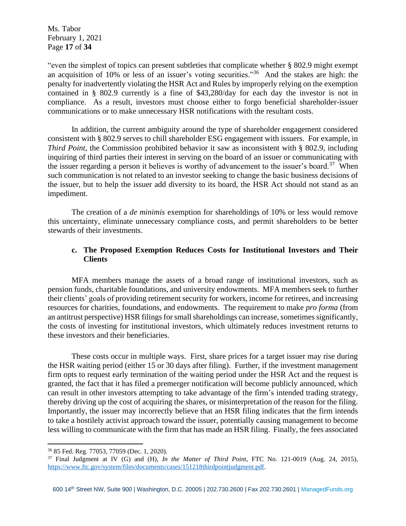Ms. Tabor February 1, 2021 Page **17** of **34**

"even the simplest of topics can present subtleties that complicate whether § 802.9 might exempt an acquisition of 10% or less of an issuer's voting securities."<sup>36</sup> And the stakes are high: the penalty for inadvertently violating the HSR Act and Rules by improperly relying on the exemption contained in § 802.9 currently is a fine of \$43,280/day for each day the investor is not in compliance. As a result, investors must choose either to forgo beneficial shareholder-issuer communications or to make unnecessary HSR notifications with the resultant costs.

In addition, the current ambiguity around the type of shareholder engagement considered consistent with § 802.9 serves to chill shareholder ESG engagement with issuers. For example, in *Third Point*, the Commission prohibited behavior it saw as inconsistent with § 802.9, including inquiring of third parties their interest in serving on the board of an issuer or communicating with the issuer regarding a person it believes is worthy of advancement to the issuer's board.<sup>37</sup> When such communication is not related to an investor seeking to change the basic business decisions of the issuer, but to help the issuer add diversity to its board, the HSR Act should not stand as an impediment.

The creation of a *de minimis* exemption for shareholdings of 10% or less would remove this uncertainty, eliminate unnecessary compliance costs, and permit shareholders to be better stewards of their investments.

# **c. The Proposed Exemption Reduces Costs for Institutional Investors and Their Clients**

MFA members manage the assets of a broad range of institutional investors, such as pension funds, charitable foundations, and university endowments. MFA members seek to further their clients' goals of providing retirement security for workers, income for retirees, and increasing resources for charities, foundations, and endowments. The requirement to make *pro forma* (from an antitrust perspective) HSR filings for small shareholdings can increase, sometimes significantly, the costs of investing for institutional investors, which ultimately reduces investment returns to these investors and their beneficiaries.

These costs occur in multiple ways. First, share prices for a target issuer may rise during the HSR waiting period (either 15 or 30 days after filing). Further, if the investment management firm opts to request early termination of the waiting period under the HSR Act and the request is granted, the fact that it has filed a premerger notification will become publicly announced, which can result in other investors attempting to take advantage of the firm's intended trading strategy, thereby driving up the cost of acquiring the shares, or misinterpretation of the reason for the filing. Importantly, the issuer may incorrectly believe that an HSR filing indicates that the firm intends to take a hostilely activist approach toward the issuer, potentially causing management to become less willing to communicate with the firm that has made an HSR filing. Finally, the fees associated

<sup>36</sup> 85 Fed. Reg. 77053, 77059 (Dec. 1, 2020).

<sup>37</sup> Final Judgment at IV (G) and (H), *In the Matter of Third Point*, FTC No. 121-0019 (Aug. 24, 2015), [https://www.ftc.gov/system/files/documents/cases/151218thirdpointjudgment.pdf.](https://www.ftc.gov/system/files/documents/cases/151218thirdpointjudgment.pdf)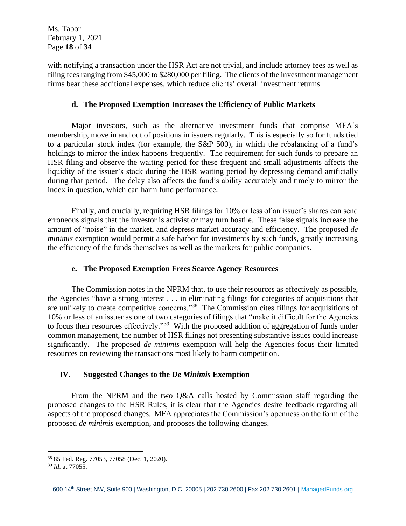Ms. Tabor February 1, 2021 Page **18** of **34**

with notifying a transaction under the HSR Act are not trivial, and include attorney fees as well as filing fees ranging from \$45,000 to \$280,000 per filing. The clients of the investment management firms bear these additional expenses, which reduce clients' overall investment returns.

## **d. The Proposed Exemption Increases the Efficiency of Public Markets**

Major investors, such as the alternative investment funds that comprise MFA's membership, move in and out of positions in issuers regularly. This is especially so for funds tied to a particular stock index (for example, the S&P 500), in which the rebalancing of a fund's holdings to mirror the index happens frequently. The requirement for such funds to prepare an HSR filing and observe the waiting period for these frequent and small adjustments affects the liquidity of the issuer's stock during the HSR waiting period by depressing demand artificially during that period. The delay also affects the fund's ability accurately and timely to mirror the index in question, which can harm fund performance.

Finally, and crucially, requiring HSR filings for 10% or less of an issuer's shares can send erroneous signals that the investor is activist or may turn hostile. These false signals increase the amount of "noise" in the market, and depress market accuracy and efficiency. The proposed *de minimis* exemption would permit a safe harbor for investments by such funds, greatly increasing the efficiency of the funds themselves as well as the markets for public companies.

# **e. The Proposed Exemption Frees Scarce Agency Resources**

The Commission notes in the NPRM that, to use their resources as effectively as possible, the Agencies "have a strong interest . . . in eliminating filings for categories of acquisitions that are unlikely to create competitive concerns."<sup>38</sup> The Commission cites filings for acquisitions of 10% or less of an issuer as one of two categories of filings that "make it difficult for the Agencies to focus their resources effectively."<sup>39</sup> With the proposed addition of aggregation of funds under common management, the number of HSR filings not presenting substantive issues could increase significantly. The proposed *de minimis* exemption will help the Agencies focus their limited resources on reviewing the transactions most likely to harm competition.

#### **IV. Suggested Changes to the** *De Minimis* **Exemption**

From the NPRM and the two Q&A calls hosted by Commission staff regarding the proposed changes to the HSR Rules, it is clear that the Agencies desire feedback regarding all aspects of the proposed changes. MFA appreciates the Commission's openness on the form of the proposed *de minimis* exemption, and proposes the following changes.

<sup>38</sup> 85 Fed. Reg. 77053, 77058 (Dec. 1, 2020).

<sup>39</sup> *Id*. at 77055.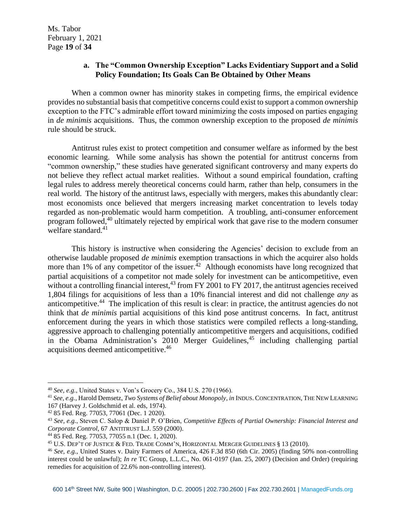## **a. The "Common Ownership Exception" Lacks Evidentiary Support and a Solid Policy Foundation; Its Goals Can Be Obtained by Other Means**

When a common owner has minority stakes in competing firms, the empirical evidence provides no substantial basis that competitive concerns could exist to support a common ownership exception to the FTC's admirable effort toward minimizing the costs imposed on parties engaging in *de minimis* acquisitions. Thus, the common ownership exception to the proposed *de minimis* rule should be struck.

Antitrust rules exist to protect competition and consumer welfare as informed by the best economic learning. While some analysis has shown the potential for antitrust concerns from "common ownership," these studies have generated significant controversy and many experts do not believe they reflect actual market realities. Without a sound empirical foundation, crafting legal rules to address merely theoretical concerns could harm, rather than help, consumers in the real world. The history of the antitrust laws, especially with mergers, makes this abundantly clear: most economists once believed that mergers increasing market concentration to levels today regarded as non-problematic would harm competition. A troubling, anti-consumer enforcement program followed,<sup>40</sup> ultimately rejected by empirical work that gave rise to the modern consumer welfare standard. 41

This history is instructive when considering the Agencies' decision to exclude from an otherwise laudable proposed *de minimis* exemption transactions in which the acquirer also holds more than 1% of any competitor of the issuer.<sup>42</sup> Although economists have long recognized that partial acquisitions of a competitor not made solely for investment can be anticompetitive, even without a controlling financial interest,  $43$  from FY 2001 to FY 2017, the antitrust agencies received 1,804 filings for acquisitions of less than a 10% financial interest and did not challenge *any* as anticompetitive.<sup>44</sup> The implication of this result is clear: in practice, the antitrust agencies do not think that *de minimis* partial acquisitions of this kind pose antitrust concerns. In fact, antitrust enforcement during the years in which those statistics were compiled reflects a long-standing, aggressive approach to challenging potentially anticompetitive mergers and acquisitions, codified in the Obama Administration's 2010 Merger Guidelines,<sup>45</sup> including challenging partial acquisitions deemed anticompetitive. 46

<sup>40</sup> *See, e.g.*, United States v. Von's Grocery Co., 384 U.S. 270 (1966).

<sup>41</sup> *See, e.g.*, Harold Demsetz, *Two Systems of Belief about Monopoly*, *in* INDUS. CONCENTRATION, THE NEW LEARNING 167 (Harvey J. Goldschmid et al. eds, 1974).

<sup>42</sup> 85 Fed. Reg. 77053, 77061 (Dec. 1 2020).

<sup>43</sup> *See, e.g.*, Steven C. Salop & Daniel P. O'Brien, *Competitive Effects of Partial Ownership: Financial Interest and Corporate Control*, 67 ANTITRUST L.J. 559 (2000).

<sup>44</sup> 85 Fed. Reg. 77053, 77055 n.1 (Dec. 1, 2020).

<sup>45</sup> U.S. DEP'T OF JUSTICE & FED. TRADE COMM'N, HORIZONTAL MERGER GUIDELINES § 13 (2010).

<sup>46</sup> *See, e.g.*, United States v. Dairy Farmers of America, 426 F.3d 850 (6th Cir. 2005) (finding 50% non-controlling interest could be unlawful); *In re* TC Group, L.L.C., No. 061-0197 (Jan. 25, 2007) (Decision and Order) (requiring remedies for acquisition of 22.6% non-controlling interest).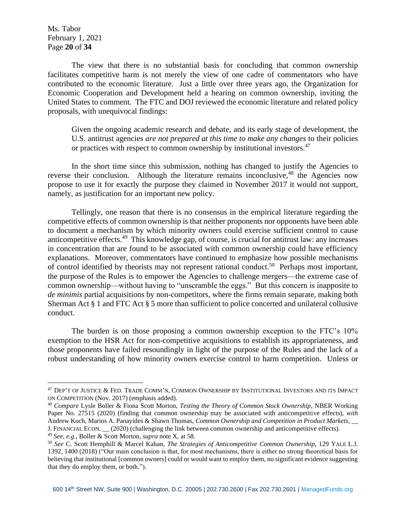Ms. Tabor February 1, 2021 Page **20** of **34**

The view that there is no substantial basis for concluding that common ownership facilitates competitive harm is not merely the view of one cadre of commentators who have contributed to the economic literature. Just a little over three years ago, the Organization for Economic Cooperation and Development held a hearing on common ownership, inviting the United States to comment. The FTC and DOJ reviewed the economic literature and related policy proposals, with unequivocal findings:

Given the ongoing academic research and debate, and its early stage of development, the U.S. antitrust agencies *are not prepared at this time to make any changes* to their policies or practices with respect to common ownership by institutional investors.<sup>47</sup>

In the short time since this submission, nothing has changed to justify the Agencies to reverse their conclusion. Although the literature remains inconclusive,<sup>48</sup> the Agencies now propose to use it for exactly the purpose they claimed in November 2017 it would not support, namely, as justification for an important new policy.

Tellingly, one reason that there is no consensus in the empirical literature regarding the competitive effects of common ownership is that neither proponents nor opponents have been able to document a mechanism by which minority owners could exercise sufficient control to cause anticompetitive effects.<sup>49</sup> This knowledge gap, of course, is crucial for antitrust law: any increases in concentration that are found to be associated with common ownership could have efficiency explanations. Moreover, commentators have continued to emphasize how possible mechanisms of control identified by theorists may not represent rational conduct.<sup>50</sup> Perhaps most important, the purpose of the Rules is to empower the Agencies to challenge mergers—the extreme case of common ownership—without having to "unscramble the eggs." But this concern is inapposite to *de minimis* partial acquisitions by non-competitors, where the firms remain separate, making both Sherman Act § 1 and FTC Act § 5 more than sufficient to police concerted and unilateral collusive conduct.

The burden is on those proposing a common ownership exception to the FTC's 10% exemption to the HSR Act for non-competitive acquisitions to establish its appropriateness, and those proponents have failed resoundingly in light of the purpose of the Rules and the lack of a robust understanding of how minority owners exercise control to harm competition. Unless or

<sup>47</sup> DEP'T OF JUSTICE & FED. TRADE COMM'N, COMMON OWNERSHIP BY INSTITUTIONAL INVESTORS AND ITS IMPACT ON COMPETITION (Nov. 2017) (emphasis added).

<sup>48</sup> *Compare* Lysle Boller & Fiona Scott Morton, *Testing the Theory of Common Stock Ownership*, NBER Working Paper No. 27515 (2020) (finding that common ownership may be associated with anticompetitive effects), *with*  Andrew Koch, Marios A. Panayides & Shawn Thomas, *Common Ownership and Competition in Product Markets*, \_\_ J. FINANCIAL ECON. \_\_ (2020) (challenging the link between common ownership and anticompetitive effects).

<sup>49</sup> *See, e.g.*, Boller & Scott Morton, *supra* note X, at 58.

<sup>50</sup> *See* C. Scott Hemphill & Marcel Kahan, *The Strategies of Anticompetitive Common Ownership*, 129 YALE L.J. 1392, 1400 (2018) ("Our main conclusion is that, for most mechanisms, there is either no strong theoretical basis for believing that institutional [common owners] could or would want to employ them, no significant evidence suggesting that they do employ them, or both.").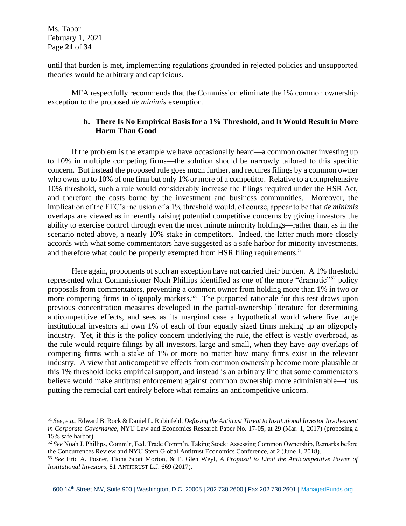Ms. Tabor February 1, 2021 Page **21** of **34**

until that burden is met, implementing regulations grounded in rejected policies and unsupported theories would be arbitrary and capricious.

MFA respectfully recommends that the Commission eliminate the 1% common ownership exception to the proposed *de minimis* exemption.

# **b. There Is No Empirical Basis for a 1% Threshold, and It Would Result in More Harm Than Good**

If the problem is the example we have occasionally heard—a common owner investing up to 10% in multiple competing firms—the solution should be narrowly tailored to this specific concern. But instead the proposed rule goes much further, and requires filings by a common owner who owns up to 10% of one firm but only 1% or more of a competitor. Relative to a comprehensive 10% threshold, such a rule would considerably increase the filings required under the HSR Act, and therefore the costs borne by the investment and business communities. Moreover, the implication of the FTC's inclusion of a 1% threshold would, of course, appear to be that *de minimis* overlaps are viewed as inherently raising potential competitive concerns by giving investors the ability to exercise control through even the most minute minority holdings—rather than, as in the scenario noted above, a nearly 10% stake in competitors. Indeed, the latter much more closely accords with what some commentators have suggested as a safe harbor for minority investments, and therefore what could be properly exempted from HSR filing requirements.<sup>51</sup>

Here again, proponents of such an exception have not carried their burden. A 1% threshold represented what Commissioner Noah Phillips identified as one of the more "dramatic"<sup>52</sup> policy proposals from commentators, preventing a common owner from holding more than 1% in two or more competing firms in oligopoly markets.<sup>53</sup> The purported rationale for this test draws upon previous concentration measures developed in the partial-ownership literature for determining anticompetitive effects, and sees as its marginal case a hypothetical world where five large institutional investors all own 1% of each of four equally sized firms making up an oligopoly industry. Yet, if this is the policy concern underlying the rule, the effect is vastly overbroad, as the rule would require filings by all investors, large and small, when they have *any* overlaps of competing firms with a stake of 1% or more no matter how many firms exist in the relevant industry. A view that anticompetitive effects from common ownership become more plausible at this 1% threshold lacks empirical support, and instead is an arbitrary line that some commentators believe would make antitrust enforcement against common ownership more administrable—thus putting the remedial cart entirely before what remains an anticompetitive unicorn.

<sup>51</sup> *See, e.g.*, Edward B. Rock & Daniel L. Rubinfeld, *Defusing the Antitrust Threat to Institutional Investor Involvement in Corporate Governance*, NYU Law and Economics Research Paper No. 17-05, at 29 (Mar. 1, 2017) (proposing a 15% safe harbor).

<sup>52</sup> *See* Noah J. Phillips, Comm'r, Fed. Trade Comm'n, Taking Stock: Assessing Common Ownership, Remarks before the Concurrences Review and NYU Stern Global Antitrust Economics Conference, at 2 (June 1, 2018).

<sup>53</sup> *See* Eric A. Posner, Fiona Scott Morton, & E. Glen Weyl, *A Proposal to Limit the Anticompetitive Power of Institutional Investors*, 81 ANTITRUST L.J. 669 (2017).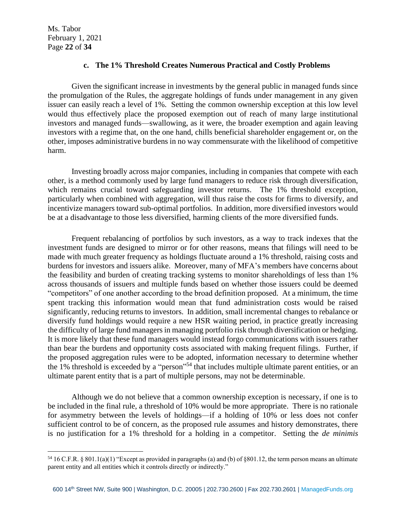Ms. Tabor February 1, 2021 Page **22** of **34**

#### **c. The 1% Threshold Creates Numerous Practical and Costly Problems**

Given the significant increase in investments by the general public in managed funds since the promulgation of the Rules, the aggregate holdings of funds under management in any given issuer can easily reach a level of 1%. Setting the common ownership exception at this low level would thus effectively place the proposed exemption out of reach of many large institutional investors and managed funds—swallowing, as it were, the broader exemption and again leaving investors with a regime that, on the one hand, chills beneficial shareholder engagement or, on the other, imposes administrative burdens in no way commensurate with the likelihood of competitive harm.

Investing broadly across major companies, including in companies that compete with each other, is a method commonly used by large fund managers to reduce risk through diversification, which remains crucial toward safeguarding investor returns. The 1% threshold exception, particularly when combined with aggregation, will thus raise the costs for firms to diversify, and incentivize managers toward sub-optimal portfolios. In addition, more diversified investors would be at a disadvantage to those less diversified, harming clients of the more diversified funds.

Frequent rebalancing of portfolios by such investors, as a way to track indexes that the investment funds are designed to mirror or for other reasons, means that filings will need to be made with much greater frequency as holdings fluctuate around a 1% threshold, raising costs and burdens for investors and issuers alike. Moreover, many of MFA's members have concerns about the feasibility and burden of creating tracking systems to monitor shareholdings of less than 1% across thousands of issuers and multiple funds based on whether those issuers could be deemed "competitors" of one another according to the broad definition proposed. At a minimum, the time spent tracking this information would mean that fund administration costs would be raised significantly, reducing returns to investors. In addition, small incremental changes to rebalance or diversify fund holdings would require a new HSR waiting period, in practice greatly increasing the difficulty of large fund managers in managing portfolio risk through diversification or hedging. It is more likely that these fund managers would instead forgo communications with issuers rather than bear the burdens and opportunity costs associated with making frequent filings. Further, if the proposed aggregation rules were to be adopted, information necessary to determine whether the 1% threshold is exceeded by a "person"<sup>54</sup> that includes multiple ultimate parent entities, or an ultimate parent entity that is a part of multiple persons, may not be determinable.

Although we do not believe that a common ownership exception is necessary, if one is to be included in the final rule, a threshold of 10% would be more appropriate. There is no rationale for asymmetry between the levels of holdings—if a holding of 10% or less does not confer sufficient control to be of concern, as the proposed rule assumes and history demonstrates, there is no justification for a 1% threshold for a holding in a competitor. Setting the *de minimis*

 $54$  16 C.F.R. § 801.1(a)(1) "Except as provided in paragraphs (a) and (b) of §801.12, the term person means an ultimate parent entity and all entities which it controls directly or indirectly."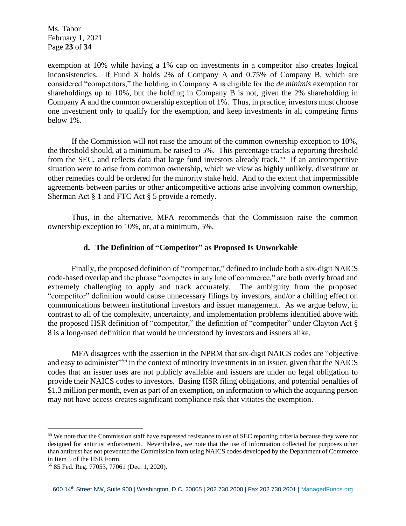Ms. Tabor February 1, 2021 Page **23** of **34**

exemption at 10% while having a 1% cap on investments in a competitor also creates logical inconsistencies. If Fund X holds 2% of Company A and 0.75% of Company B, which are considered "competitors," the holding in Company A is eligible for the *de minimis* exemption for shareholdings up to 10%, but the holding in Company B is not, given the 2% shareholding in Company A and the common ownership exception of 1%. Thus, in practice, investors must choose one investment only to qualify for the exemption, and keep investments in all competing firms below 1%.

If the Commission will not raise the amount of the common ownership exception to 10%, the threshold should, at a minimum, be raised to 5%. This percentage tracks a reporting threshold from the SEC, and reflects data that large fund investors already track.<sup>55</sup> If an anticompetitive situation were to arise from common ownership, which we view as highly unlikely, divestiture or other remedies could be ordered for the minority stake held. And to the extent that impermissible agreements between parties or other anticompetitive actions arise involving common ownership, Sherman Act § 1 and FTC Act § 5 provide a remedy.

Thus, in the alternative, MFA recommends that the Commission raise the common ownership exception to 10%, or, at a minimum, 5%.

#### **d. The Definition of "Competitor" as Proposed Is Unworkable**

Finally, the proposed definition of "competitor," defined to include both a six-digit NAICS code-based overlap and the phrase "competes in any line of commerce," are both overly broad and extremely challenging to apply and track accurately. The ambiguity from the proposed "competitor" definition would cause unnecessary filings by investors, and/or a chilling effect on communications between institutional investors and issuer management. As we argue below, in contrast to all of the complexity, uncertainty, and implementation problems identified above with the proposed HSR definition of "competitor," the definition of "competitor" under Clayton Act § 8 is a long-used definition that would be understood by investors and issuers alike.

MFA disagrees with the assertion in the NPRM that six-digit NAICS codes are "objective and easy to administer<sup>"56</sup> in the context of minority investments in an issuer, given that the NAICS codes that an issuer uses are not publicly available and issuers are under no legal obligation to provide their NAICS codes to investors. Basing HSR filing obligations, and potential penalties of \$1.3 million per month, even as part of an exemption, on information to which the acquiring person may not have access creates significant compliance risk that vitiates the exemption.

<sup>&</sup>lt;sup>55</sup> We note that the Commission staff have expressed resistance to use of SEC reporting criteria because they were not designed for antitrust enforcement. Nevertheless, we note that the use of information collected for purposes other than antitrust has not prevented the Commission from using NAICS codes developed by the Department of Commerce in Item 5 of the HSR Form.

<sup>56</sup> 85 Fed. Reg. 77053, 77061 (Dec. 1, 2020).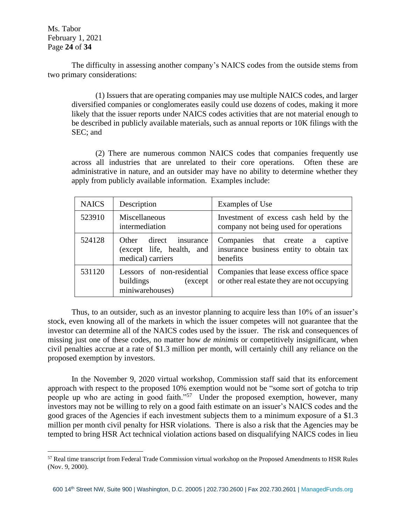Ms. Tabor February 1, 2021 Page **24** of **34**

The difficulty in assessing another company's NAICS codes from the outside stems from two primary considerations:

(1) Issuers that are operating companies may use multiple NAICS codes, and larger diversified companies or conglomerates easily could use dozens of codes, making it more likely that the issuer reports under NAICS codes activities that are not material enough to be described in publicly available materials, such as annual reports or 10K filings with the SEC; and

(2) There are numerous common NAICS codes that companies frequently use across all industries that are unrelated to their core operations. Often these are administrative in nature, and an outsider may have no ability to determine whether they apply from publicly available information. Examples include:

| <b>NAICS</b> | Description                                                              | Examples of Use                                                                           |
|--------------|--------------------------------------------------------------------------|-------------------------------------------------------------------------------------------|
| 523910       | Miscellaneous<br>intermediation                                          | Investment of excess cash held by the<br>company not being used for operations            |
| 524128       | Other direct insurance<br>(except life, health, and<br>medical) carriers | Companies that create a<br>captive<br>insurance business entity to obtain tax<br>benefits |
| 531120       | Lessors of non-residential<br>buildings<br>(except)<br>miniwarehouses)   | Companies that lease excess office space<br>or other real estate they are not occupying   |

Thus, to an outsider, such as an investor planning to acquire less than 10% of an issuer's stock, even knowing all of the markets in which the issuer competes will not guarantee that the investor can determine all of the NAICS codes used by the issuer. The risk and consequences of missing just one of these codes, no matter how *de minimis* or competitively insignificant, when civil penalties accrue at a rate of \$1.3 million per month, will certainly chill any reliance on the proposed exemption by investors.

In the November 9, 2020 virtual workshop, Commission staff said that its enforcement approach with respect to the proposed 10% exemption would not be "some sort of gotcha to trip people up who are acting in good faith."<sup>57</sup> Under the proposed exemption, however, many investors may not be willing to rely on a good faith estimate on an issuer's NAICS codes and the good graces of the Agencies if each investment subjects them to a minimum exposure of a \$1.3 million per month civil penalty for HSR violations. There is also a risk that the Agencies may be tempted to bring HSR Act technical violation actions based on disqualifying NAICS codes in lieu

<sup>57</sup> Real time transcript from Federal Trade Commission virtual workshop on the Proposed Amendments to HSR Rules (Nov. 9, 2000).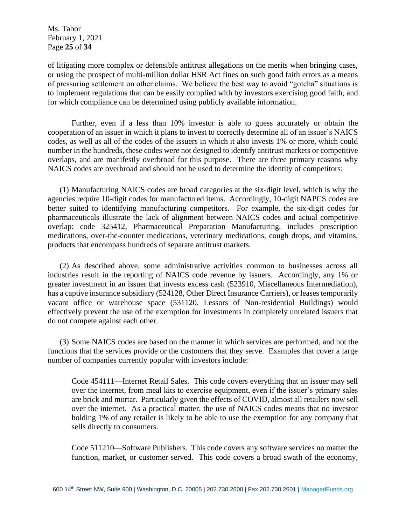Ms. Tabor February 1, 2021 Page **25** of **34**

of litigating more complex or defensible antitrust allegations on the merits when bringing cases, or using the prospect of multi-million dollar HSR Act fines on such good faith errors as a means of pressuring settlement on other claims. We believe the best way to avoid "gotcha" situations is to implement regulations that can be easily complied with by investors exercising good faith, and for which compliance can be determined using publicly available information.

Further, even if a less than 10% investor is able to guess accurately or obtain the cooperation of an issuer in which it plans to invest to correctly determine all of an issuer's NAICS codes, as well as all of the codes of the issuers in which it also invests 1% or more, which could number in the hundreds, these codes were not designed to identify antitrust markets or competitive overlaps, and are manifestly overbroad for this purpose. There are three primary reasons why NAICS codes are overbroad and should not be used to determine the identity of competitors:

(1) Manufacturing NAICS codes are broad categories at the six-digit level, which is why the agencies require 10-digit codes for manufactured items. Accordingly, 10-digit NAPCS codes are better suited to identifying manufacturing competitors. For example, the six-digit codes for pharmaceuticals illustrate the lack of alignment between NAICS codes and actual competitive overlap: code 325412, Pharmaceutical Preparation Manufacturing, includes prescription medications, over-the-counter medications, veterinary medications, cough drops, and vitamins, products that encompass hundreds of separate antitrust markets.

(2) As described above, some administrative activities common to businesses across all industries result in the reporting of NAICS code revenue by issuers. Accordingly, any 1% or greater investment in an issuer that invests excess cash (523910, Miscellaneous Intermediation), has a captive insurance subsidiary (524128, Other Direct Insurance Carriers), or leases temporarily vacant office or warehouse space (531120, Lessors of Non-residential Buildings) would effectively prevent the use of the exemption for investments in completely unrelated issuers that do not compete against each other.

(3) Some NAICS codes are based on the manner in which services are performed, and not the functions that the services provide or the customers that they serve. Examples that cover a large number of companies currently popular with investors include:

Code 454111—Internet Retail Sales. This code covers everything that an issuer may sell over the internet, from meal kits to exercise equipment, even if the issuer's primary sales are brick and mortar. Particularly given the effects of COVID, almost all retailers now sell over the internet. As a practical matter, the use of NAICS codes means that no investor holding 1% of any retailer is likely to be able to use the exemption for any company that sells directly to consumers.

Code 511210—Software Publishers. This code covers any software services no matter the function, market, or customer served. This code covers a broad swath of the economy,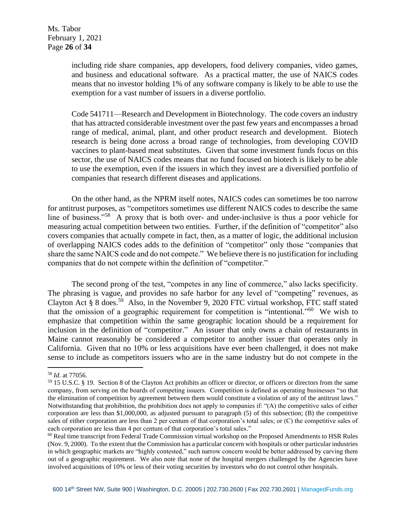including ride share companies, app developers, food delivery companies, video games, and business and educational software. As a practical matter, the use of NAICS codes means that no investor holding 1% of any software company is likely to be able to use the exemption for a vast number of issuers in a diverse portfolio.

Code 541711—Research and Development in Biotechnology. The code covers an industry that has attracted considerable investment over the past few years and encompasses a broad range of medical, animal, plant, and other product research and development. Biotech research is being done across a broad range of technologies, from developing COVID vaccines to plant-based meat substitutes. Given that some investment funds focus on this sector, the use of NAICS codes means that no fund focused on biotech is likely to be able to use the exemption, even if the issuers in which they invest are a diversified portfolio of companies that research different diseases and applications.

On the other hand, as the NPRM itself notes, NAICS codes can sometimes be too narrow for antitrust purposes, as "competitors sometimes use different NAICS codes to describe the same line of business."<sup>58</sup> A proxy that is both over- and under-inclusive is thus a poor vehicle for measuring actual competition between two entities. Further, if the definition of "competitor" also covers companies that actually compete in fact, then, as a matter of logic, the additional inclusion of overlapping NAICS codes adds to the definition of "competitor" only those "companies that share the same NAICS code and do not compete." We believe there is no justification for including companies that do not compete within the definition of "competitor."

The second prong of the test, "competes in any line of commerce," also lacks specificity. The phrasing is vague, and provides no safe harbor for any level of "competing" revenues, as Clayton Act § 8 does.<sup>59</sup> Also, in the November 9, 2020 FTC virtual workshop, FTC staff stated that the omission of a geographic requirement for competition is "intentional."<sup>60</sup> We wish to emphasize that competition within the same geographic location should be a requirement for inclusion in the definition of "competitor." An issuer that only owns a chain of restaurants in Maine cannot reasonably be considered a competitor to another issuer that operates only in California. Given that no 10% or less acquisitions have ever been challenged, it does not make sense to include as competitors issuers who are in the same industry but do not compete in the

<sup>58</sup> *Id*. at 77056.

<sup>59</sup> 15 U.S.C. § 19. Section 8 of the Clayton Act prohibits an officer or director, or officers or directors from the same company, from serving on the boards of competing issuers. Competition is defined as operating businesses "so that the elimination of competition by agreement between them would constitute a violation of any of the antitrust laws." Notwithstanding that prohibition, the prohibition does not apply to companies if: "(A) the competitive sales of either corporation are less than \$1,000,000, as adjusted pursuant to paragraph (5) of this subsection; (B) the competitive sales of either corporation are less than 2 per centum of that corporation's total sales; or (C) the competitive sales of each corporation are less than 4 per centum of that corporation's total sales."

<sup>&</sup>lt;sup>60</sup> Real time transcript from Federal Trade Commission virtual workshop on the Proposed Amendments to HSR Rules (Nov. 9, 2000). To the extent that the Commission has a particular concern with hospitals or other particular industries in which geographic markets are "highly contested," such narrow concern would be better addressed by carving them out of a geographic requirement. We also note that none of the hospital mergers challenged by the Agencies have involved acquisitions of 10% or less of their voting securities by investors who do not control other hospitals.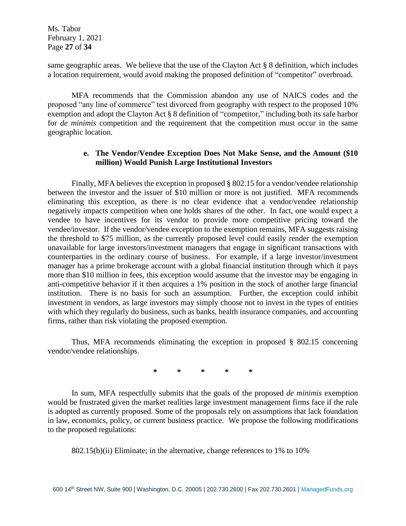Ms. Tabor February 1, 2021 Page **27** of **34**

same geographic areas. We believe that the use of the Clayton Act § 8 definition, which includes a location requirement, would avoid making the proposed definition of "competitor" overbroad.

MFA recommends that the Commission abandon any use of NAICS codes and the proposed "any line of commerce" test divorced from geography with respect to the proposed 10% exemption and adopt the Clayton Act § 8 definition of "competitor," including both its safe harbor for *de minimis* competition and the requirement that the competition must occur in the same geographic location.

## **e. The Vendor/Vendee Exception Does Not Make Sense, and the Amount (\$10 million) Would Punish Large Institutional Investors**

Finally, MFA believes the exception in proposed § 802.15 for a vendor/vendee relationship between the investor and the issuer of \$10 million or more is not justified. MFA recommends eliminating this exception, as there is no clear evidence that a vendor/vendee relationship negatively impacts competition when one holds shares of the other. In fact, one would expect a vendee to have incentives for its vendor to provide more competitive pricing toward the vendee/investor. If the vendor/vendee exception to the exemption remains, MFA suggests raising the threshold to \$75 million, as the currently proposed level could easily render the exemption unavailable for large investors/investment managers that engage in significant transactions with counterparties in the ordinary course of business. For example, if a large investor/investment manager has a prime brokerage account with a global financial institution through which it pays more than \$10 million in fees, this exception would assume that the investor may be engaging in anti-competitive behavior if it then acquires a 1% position in the stock of another large financial institution. There is no basis for such an assumption. Further, the exception could inhibit investment in vendors, as large investors may simply choose not to invest in the types of entities with which they regularly do business, such as banks, health insurance companies, and accounting firms, rather than risk violating the proposed exemption.

Thus, MFA recommends eliminating the exception in proposed § 802.15 concerning vendor/vendee relationships.

**\* \* \* \* \***

In sum, MFA respectfully submits that the goals of the proposed *de minimis* exemption would be frustrated given the market realities large investment management firms face if the rule is adopted as currently proposed. Some of the proposals rely on assumptions that lack foundation in law, economics, policy, or current business practice. We propose the following modifications to the proposed regulations:

802.15(b)(ii) Eliminate; in the alternative, change references to 1% to 10%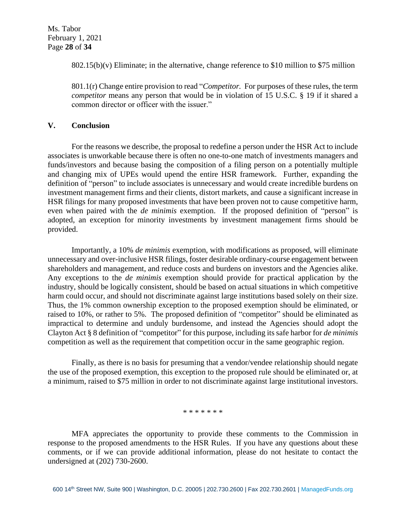802.15(b)(v) Eliminate; in the alternative, change reference to \$10 million to \$75 million

801.1(r) Change entire provision to read "*Competitor.* For purposes of these rules, the term *competitor* means any person that would be in violation of 15 U.S.C. § 19 if it shared a common director or officer with the issuer."

#### **V. Conclusion**

For the reasons we describe, the proposal to redefine a person under the HSR Act to include associates is unworkable because there is often no one-to-one match of investments managers and funds/investors and because basing the composition of a filing person on a potentially multiple and changing mix of UPEs would upend the entire HSR framework. Further, expanding the definition of "person" to include associates is unnecessary and would create incredible burdens on investment management firms and their clients, distort markets, and cause a significant increase in HSR filings for many proposed investments that have been proven not to cause competitive harm, even when paired with the *de minimis* exemption. If the proposed definition of "person" is adopted, an exception for minority investments by investment management firms should be provided.

Importantly, a 10% *de minimis* exemption, with modifications as proposed, will eliminate unnecessary and over-inclusive HSR filings, foster desirable ordinary-course engagement between shareholders and management, and reduce costs and burdens on investors and the Agencies alike. Any exceptions to the *de minimis* exemption should provide for practical application by the industry, should be logically consistent, should be based on actual situations in which competitive harm could occur, and should not discriminate against large institutions based solely on their size. Thus, the 1% common ownership exception to the proposed exemption should be eliminated, or raised to 10%, or rather to 5%. The proposed definition of "competitor" should be eliminated as impractical to determine and unduly burdensome, and instead the Agencies should adopt the Clayton Act § 8 definition of "competitor" for this purpose, including its safe harbor for *de minimis* competition as well as the requirement that competition occur in the same geographic region.

Finally, as there is no basis for presuming that a vendor/vendee relationship should negate the use of the proposed exemption, this exception to the proposed rule should be eliminated or, at a minimum, raised to \$75 million in order to not discriminate against large institutional investors.

#### \* \* \* \* \* \* \*

MFA appreciates the opportunity to provide these comments to the Commission in response to the proposed amendments to the HSR Rules. If you have any questions about these comments, or if we can provide additional information, please do not hesitate to contact the undersigned at (202) 730-2600.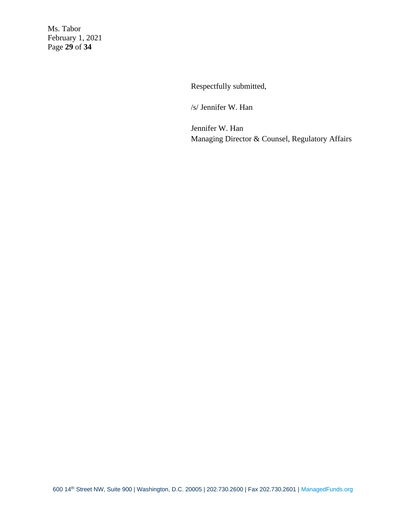Ms. Tabor February 1, 2021 Page **29** of **34**

Respectfully submitted,

/s/ Jennifer W. Han

Jennifer W. Han Managing Director & Counsel, Regulatory Affairs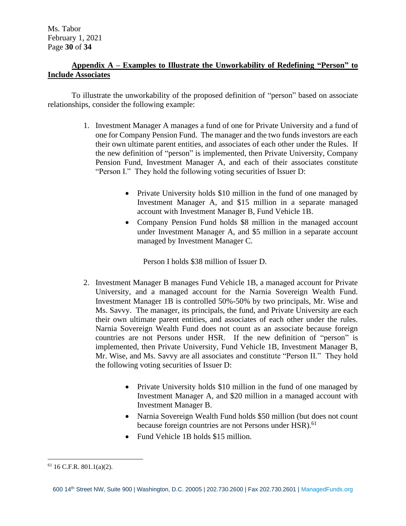# **Appendix A – Examples to Illustrate the Unworkability of Redefining "Person" to Include Associates**

To illustrate the unworkability of the proposed definition of "person" based on associate relationships, consider the following example:

- 1. Investment Manager A manages a fund of one for Private University and a fund of one for Company Pension Fund. The manager and the two funds investors are each their own ultimate parent entities, and associates of each other under the Rules. If the new definition of "person" is implemented, then Private University, Company Pension Fund, Investment Manager A, and each of their associates constitute "Person I." They hold the following voting securities of Issuer D:
	- Private University holds \$10 million in the fund of one managed by Investment Manager A, and \$15 million in a separate managed account with Investment Manager B, Fund Vehicle 1B.
	- Company Pension Fund holds \$8 million in the managed account under Investment Manager A, and \$5 million in a separate account managed by Investment Manager C.

Person I holds \$38 million of Issuer D.

- 2. Investment Manager B manages Fund Vehicle 1B, a managed account for Private University, and a managed account for the Narnia Sovereign Wealth Fund. Investment Manager 1B is controlled 50%-50% by two principals, Mr. Wise and Ms. Savvy. The manager, its principals, the fund, and Private University are each their own ultimate parent entities, and associates of each other under the rules. Narnia Sovereign Wealth Fund does not count as an associate because foreign countries are not Persons under HSR. If the new definition of "person" is implemented, then Private University, Fund Vehicle 1B, Investment Manager B, Mr. Wise, and Ms. Savvy are all associates and constitute "Person II." They hold the following voting securities of Issuer D:
	- Private University holds \$10 million in the fund of one managed by Investment Manager A, and \$20 million in a managed account with Investment Manager B.
	- Narnia Sovereign Wealth Fund holds \$50 million (but does not count because foreign countries are not Persons under HSR).<sup>61</sup>
	- Fund Vehicle 1B holds \$15 million.

 $61$  16 C.F.R. 801.1(a)(2).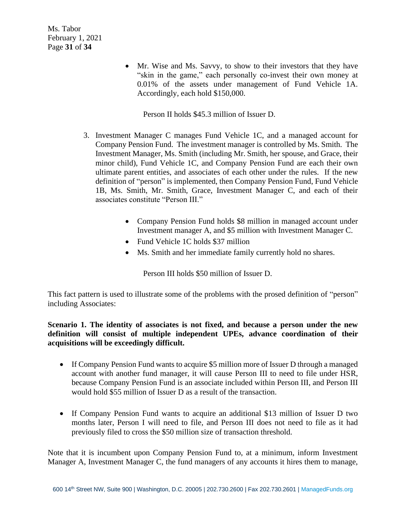Ms. Tabor February 1, 2021 Page **31** of **34**

> • Mr. Wise and Ms. Savvy, to show to their investors that they have "skin in the game," each personally co-invest their own money at 0.01% of the assets under management of Fund Vehicle 1A. Accordingly, each hold \$150,000.

Person II holds \$45.3 million of Issuer D.

- 3. Investment Manager C manages Fund Vehicle 1C, and a managed account for Company Pension Fund. The investment manager is controlled by Ms. Smith. The Investment Manager, Ms. Smith (including Mr. Smith, her spouse, and Grace, their minor child), Fund Vehicle 1C, and Company Pension Fund are each their own ultimate parent entities, and associates of each other under the rules. If the new definition of "person" is implemented, then Company Pension Fund, Fund Vehicle 1B, Ms. Smith, Mr. Smith, Grace, Investment Manager C, and each of their associates constitute "Person III."
	- Company Pension Fund holds \$8 million in managed account under Investment manager A, and \$5 million with Investment Manager C.
	- Fund Vehicle 1C holds \$37 million
	- Ms. Smith and her immediate family currently hold no shares.

Person III holds \$50 million of Issuer D.

This fact pattern is used to illustrate some of the problems with the prosed definition of "person" including Associates:

**Scenario 1. The identity of associates is not fixed, and because a person under the new definition will consist of multiple independent UPEs, advance coordination of their acquisitions will be exceedingly difficult.** 

- If Company Pension Fund wants to acquire \$5 million more of Issuer D through a managed account with another fund manager, it will cause Person III to need to file under HSR, because Company Pension Fund is an associate included within Person III, and Person III would hold \$55 million of Issuer D as a result of the transaction.
- If Company Pension Fund wants to acquire an additional \$13 million of Issuer D two months later, Person I will need to file, and Person III does not need to file as it had previously filed to cross the \$50 million size of transaction threshold.

Note that it is incumbent upon Company Pension Fund to, at a minimum, inform Investment Manager A, Investment Manager C, the fund managers of any accounts it hires them to manage,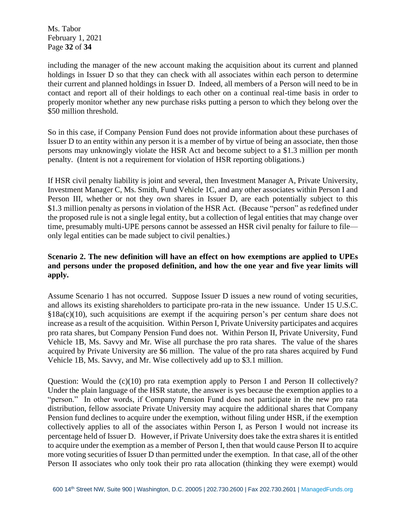Ms. Tabor February 1, 2021 Page **32** of **34**

including the manager of the new account making the acquisition about its current and planned holdings in Issuer D so that they can check with all associates within each person to determine their current and planned holdings in Issuer D. Indeed, all members of a Person will need to be in contact and report all of their holdings to each other on a continual real-time basis in order to properly monitor whether any new purchase risks putting a person to which they belong over the \$50 million threshold.

So in this case, if Company Pension Fund does not provide information about these purchases of Issuer D to an entity within any person it is a member of by virtue of being an associate, then those persons may unknowingly violate the HSR Act and become subject to a \$1.3 million per month penalty. (Intent is not a requirement for violation of HSR reporting obligations.)

If HSR civil penalty liability is joint and several, then Investment Manager A, Private University, Investment Manager C, Ms. Smith, Fund Vehicle 1C, and any other associates within Person I and Person III, whether or not they own shares in Issuer D, are each potentially subject to this \$1.3 million penalty as persons in violation of the HSR Act. (Because "person" as redefined under the proposed rule is not a single legal entity, but a collection of legal entities that may change over time, presumably multi-UPE persons cannot be assessed an HSR civil penalty for failure to file only legal entities can be made subject to civil penalties.)

# **Scenario 2. The new definition will have an effect on how exemptions are applied to UPEs and persons under the proposed definition, and how the one year and five year limits will apply.**

Assume Scenario 1 has not occurred. Suppose Issuer D issues a new round of voting securities, and allows its existing shareholders to participate pro-rata in the new issuance. Under 15 U.S.C.  $$18a(c)(10)$ , such acquisitions are exempt if the acquiring person's per centum share does not increase as a result of the acquisition. Within Person I, Private University participates and acquires pro rata shares, but Company Pension Fund does not. Within Person II, Private University, Fund Vehicle 1B, Ms. Savvy and Mr. Wise all purchase the pro rata shares. The value of the shares acquired by Private University are \$6 million. The value of the pro rata shares acquired by Fund Vehicle 1B, Ms. Savvy, and Mr. Wise collectively add up to \$3.1 million.

Question: Would the (c)(10) pro rata exemption apply to Person I and Person II collectively? Under the plain language of the HSR statute, the answer is yes because the exemption applies to a "person." In other words, if Company Pension Fund does not participate in the new pro rata distribution, fellow associate Private University may acquire the additional shares that Company Pension fund declines to acquire under the exemption, without filing under HSR, if the exemption collectively applies to all of the associates within Person I, as Person I would not increase its percentage held of Issuer D. However, if Private University does take the extra shares it is entitled to acquire under the exemption as a member of Person I, then that would cause Person II to acquire more voting securities of Issuer D than permitted under the exemption. In that case, all of the other Person II associates who only took their pro rata allocation (thinking they were exempt) would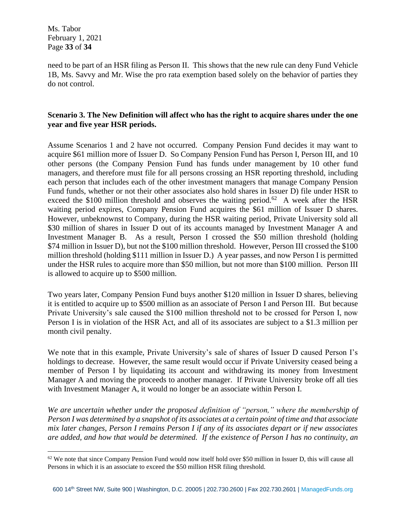Ms. Tabor February 1, 2021 Page **33** of **34**

need to be part of an HSR filing as Person II. This shows that the new rule can deny Fund Vehicle 1B, Ms. Savvy and Mr. Wise the pro rata exemption based solely on the behavior of parties they do not control.

# **Scenario 3. The New Definition will affect who has the right to acquire shares under the one year and five year HSR periods.**

Assume Scenarios 1 and 2 have not occurred. Company Pension Fund decides it may want to acquire \$61 million more of Issuer D. So Company Pension Fund has Person I, Person III, and 10 other persons (the Company Pension Fund has funds under management by 10 other fund managers, and therefore must file for all persons crossing an HSR reporting threshold, including each person that includes each of the other investment managers that manage Company Pension Fund funds, whether or not their other associates also hold shares in Issuer D) file under HSR to exceed the \$100 million threshold and observes the waiting period.<sup>62</sup> A week after the HSR waiting period expires, Company Pension Fund acquires the \$61 million of Issuer D shares. However, unbeknownst to Company, during the HSR waiting period, Private University sold all \$30 million of shares in Issuer D out of its accounts managed by Investment Manager A and Investment Manager B. As a result, Person I crossed the \$50 million threshold (holding \$74 million in Issuer D), but not the \$100 million threshold. However, Person III crossed the \$100 million threshold (holding \$111 million in Issuer D.) A year passes, and now Person I is permitted under the HSR rules to acquire more than \$50 million, but not more than \$100 million. Person III is allowed to acquire up to \$500 million.

Two years later, Company Pension Fund buys another \$120 million in Issuer D shares, believing it is entitled to acquire up to \$500 million as an associate of Person I and Person III. But because Private University's sale caused the \$100 million threshold not to be crossed for Person I, now Person I is in violation of the HSR Act, and all of its associates are subject to a \$1.3 million per month civil penalty.

We note that in this example, Private University's sale of shares of Issuer D caused Person I's holdings to decrease. However, the same result would occur if Private University ceased being a member of Person I by liquidating its account and withdrawing its money from Investment Manager A and moving the proceeds to another manager. If Private University broke off all ties with Investment Manager A, it would no longer be an associate within Person I.

*We are uncertain whether under the proposed definition of "person," where the membership of Person I was determined by a snapshot of its associates at a certain point of time and that associate mix later changes, Person I remains Person I if any of its associates depart or if new associates are added, and how that would be determined. If the existence of Person I has no continuity, an* 

 $62$  We note that since Company Pension Fund would now itself hold over \$50 million in Issuer D, this will cause all Persons in which it is an associate to exceed the \$50 million HSR filing threshold.